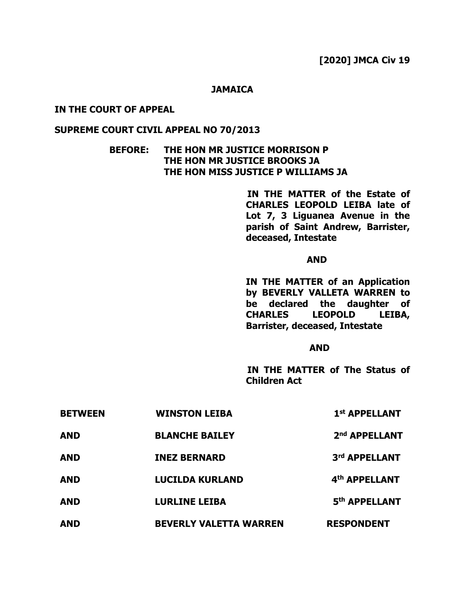#### **JAMAICA**

### **IN THE COURT OF APPEAL**

## **SUPREME COURT CIVIL APPEAL NO 70/2013**

## **BEFORE: THE HON MR JUSTICE MORRISON P THE HON MR JUSTICE BROOKS JA THE HON MISS JUSTICE P WILLIAMS JA**

 **IN THE MATTER of the Estate of CHARLES LEOPOLD LEIBA late of Lot 7, 3 Liguanea Avenue in the parish of Saint Andrew, Barrister, deceased, Intestate**

#### *AND*

**IN THE MATTER of an Application by BEVERLY VALLETA WARREN to be declared the daughter of CHARLES LEOPOLD LEIBA, Barrister, deceased, Intestate**

### *AND*

 **IN THE MATTER of The Status of Children Act**

| <b>BETWEEN</b>                         | <b>WINSTON LEIBA</b>                                                  | 1 <sup>st</sup> APPELLANT                                   |            |                               |                   |
|----------------------------------------|-----------------------------------------------------------------------|-------------------------------------------------------------|------------|-------------------------------|-------------------|
| <b>AND</b>                             | <b>BLANCHE BAILEY</b>                                                 | 2 <sup>nd</sup> APPELLANT                                   |            |                               |                   |
| <b>AND</b><br><b>AND</b><br><b>AND</b> | <b>INEZ BERNARD</b><br><b>LUCILDA KURLAND</b><br><b>LURLINE LEIBA</b> | 3rd APPELLANT<br>4 <sup>th</sup> APPELLANT<br>5th APPELLANT |            |                               |                   |
|                                        |                                                                       |                                                             | <b>AND</b> | <b>BEVERLY VALETTA WARREN</b> | <b>RESPONDENT</b> |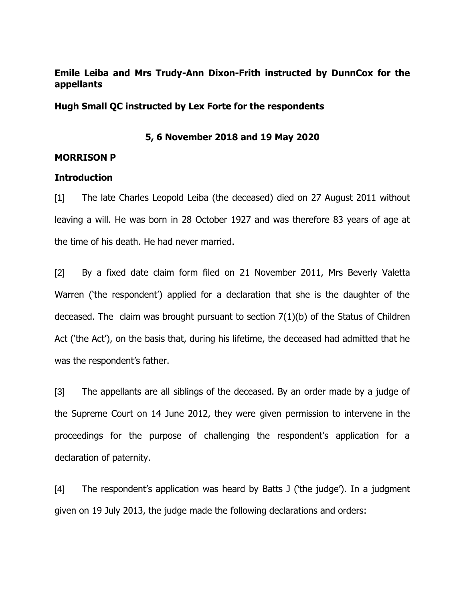# **Emile Leiba and Mrs Trudy-Ann Dixon-Frith instructed by DunnCox for the appellants**

**Hugh Small QC instructed by Lex Forte for the respondents**

## **5, 6 November 2018 and 19 May 2020**

## **MORRISON P**

### **Introduction**

[1] The late Charles Leopold Leiba (the deceased) died on 27 August 2011 without leaving a will. He was born in 28 October 1927 and was therefore 83 years of age at the time of his death. He had never married.

[2] By a fixed date claim form filed on 21 November 2011, Mrs Beverly Valetta Warren ('the respondent') applied for a declaration that she is the daughter of the deceased. The claim was brought pursuant to section 7(1)(b) of the Status of Children Act ('the Act'), on the basis that, during his lifetime, the deceased had admitted that he was the respondent's father.

[3] The appellants are all siblings of the deceased. By an order made by a judge of the Supreme Court on 14 June 2012, they were given permission to intervene in the proceedings for the purpose of challenging the respondent's application for a declaration of paternity.

[4] The respondent's application was heard by Batts J ('the judge'). In a judgment given on 19 July 2013, the judge made the following declarations and orders: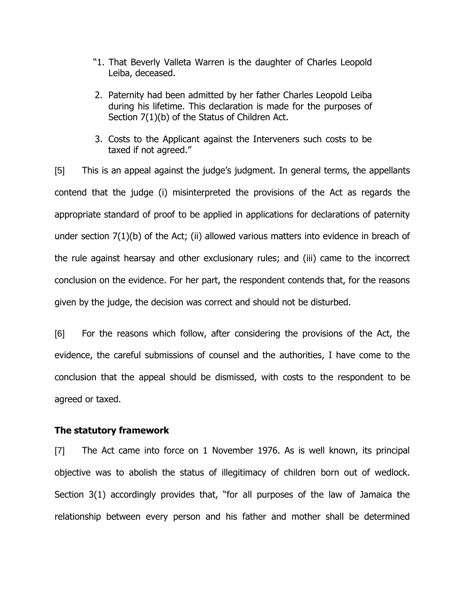- "1. That Beverly Valleta Warren is the daughter of Charles Leopold Leiba, deceased.
- 2. Paternity had been admitted by her father Charles Leopold Leiba during his lifetime. This declaration is made for the purposes of Section 7(1)(b) of the Status of Children Act.
- 3. Costs to the Applicant against the Interveners such costs to be taxed if not agreed."

[5] This is an appeal against the judge's judgment. In general terms, the appellants contend that the judge (i) misinterpreted the provisions of the Act as regards the appropriate standard of proof to be applied in applications for declarations of paternity under section 7(1)(b) of the Act; (ii) allowed various matters into evidence in breach of the rule against hearsay and other exclusionary rules; and (iii) came to the incorrect conclusion on the evidence. For her part, the respondent contends that, for the reasons given by the judge, the decision was correct and should not be disturbed.

[6] For the reasons which follow, after considering the provisions of the Act, the evidence, the careful submissions of counsel and the authorities, I have come to the conclusion that the appeal should be dismissed, with costs to the respondent to be agreed or taxed.

### **The statutory framework**

[7] The Act came into force on 1 November 1976. As is well known, its principal objective was to abolish the status of illegitimacy of children born out of wedlock. Section 3(1) accordingly provides that, "for all purposes of the law of Jamaica the relationship between every person and his father and mother shall be determined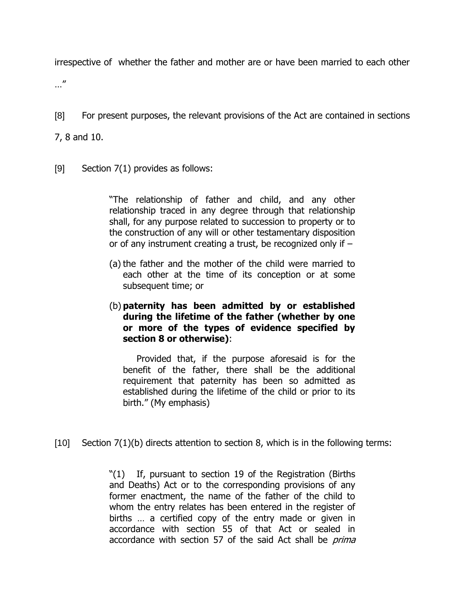irrespective of whether the father and mother are or have been married to each other

…"

[8] For present purposes, the relevant provisions of the Act are contained in sections

7, 8 and 10.

[9] Section 7(1) provides as follows:

"The relationship of father and child, and any other relationship traced in any degree through that relationship shall, for any purpose related to succession to property or to the construction of any will or other testamentary disposition or of any instrument creating a trust, be recognized only if –

- (a) the father and the mother of the child were married to each other at the time of its conception or at some subsequent time; or
- (b) **paternity has been admitted by or established during the lifetime of the father (whether by one or more of the types of evidence specified by section 8 or otherwise)**:

Provided that, if the purpose aforesaid is for the benefit of the father, there shall be the additional requirement that paternity has been so admitted as established during the lifetime of the child or prior to its birth." (My emphasis)

[10] Section 7(1)(b) directs attention to section 8, which is in the following terms:

"(1) If, pursuant to section 19 of the Registration (Births and Deaths) Act or to the corresponding provisions of any former enactment, the name of the father of the child to whom the entry relates has been entered in the register of births … a certified copy of the entry made or given in accordance with section 55 of that Act or sealed in accordance with section 57 of the said Act shall be *prima*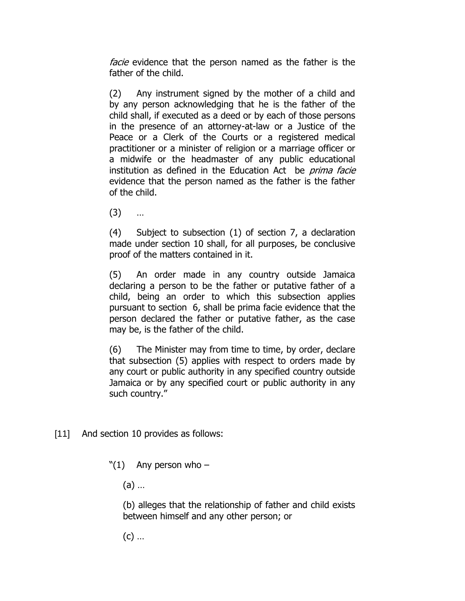facie evidence that the person named as the father is the father of the child.

(2) Any instrument signed by the mother of a child and by any person acknowledging that he is the father of the child shall, if executed as a deed or by each of those persons in the presence of an attorney-at-law or a Justice of the Peace or a Clerk of the Courts or a registered medical practitioner or a minister of religion or a marriage officer or a midwife or the headmaster of any public educational institution as defined in the Education Act be *prima facie* evidence that the person named as the father is the father of the child.

(3) …

(4) Subject to subsection (1) of section 7, a declaration made under section 10 shall, for all purposes, be conclusive proof of the matters contained in it.

(5) An order made in any country outside Jamaica declaring a person to be the father or putative father of a child, being an order to which this subsection applies pursuant to section 6, shall be prima facie evidence that the person declared the father or putative father, as the case may be, is the father of the child.

(6) The Minister may from time to time, by order, declare that subsection (5) applies with respect to orders made by any court or public authority in any specified country outside Jamaica or by any specified court or public authority in any such country."

[11] And section 10 provides as follows:

 $"(1)$  Any person who –

(a) …

(b) alleges that the relationship of father and child exists between himself and any other person; or

 $(c)$  ...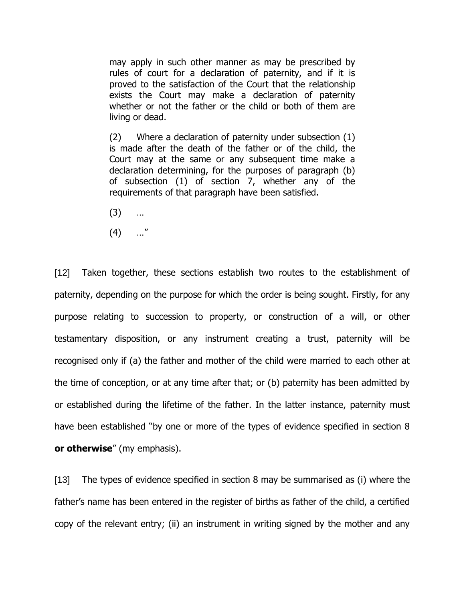may apply in such other manner as may be prescribed by rules of court for a declaration of paternity, and if it is proved to the satisfaction of the Court that the relationship exists the Court may make a declaration of paternity whether or not the father or the child or both of them are living or dead.

(2) Where a declaration of paternity under subsection (1) is made after the death of the father or of the child, the Court may at the same or any subsequent time make a declaration determining, for the purposes of paragraph (b) of subsection (1) of section 7, whether any of the requirements of that paragraph have been satisfied.

- (3) …
- $(4)$  …"

[12] Taken together, these sections establish two routes to the establishment of paternity, depending on the purpose for which the order is being sought. Firstly, for any purpose relating to succession to property, or construction of a will, or other testamentary disposition, or any instrument creating a trust, paternity will be recognised only if (a) the father and mother of the child were married to each other at the time of conception, or at any time after that; or (b) paternity has been admitted by or established during the lifetime of the father. In the latter instance, paternity must have been established "by one or more of the types of evidence specified in section 8 **or otherwise**" (my emphasis).

[13] The types of evidence specified in section 8 may be summarised as (i) where the father's name has been entered in the register of births as father of the child, a certified copy of the relevant entry; (ii) an instrument in writing signed by the mother and any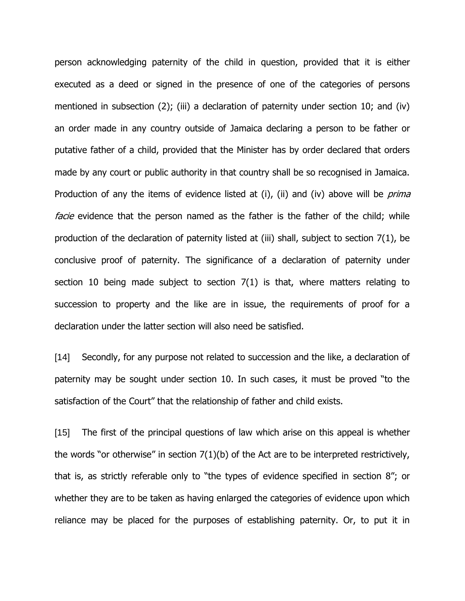person acknowledging paternity of the child in question, provided that it is either executed as a deed or signed in the presence of one of the categories of persons mentioned in subsection (2); (iii) a declaration of paternity under section 10; and (iv) an order made in any country outside of Jamaica declaring a person to be father or putative father of a child, provided that the Minister has by order declared that orders made by any court or public authority in that country shall be so recognised in Jamaica. Production of any the items of evidence listed at (i), (ii) and (iv) above will be *prima* facie evidence that the person named as the father is the father of the child; while production of the declaration of paternity listed at (iii) shall, subject to section 7(1), be conclusive proof of paternity. The significance of a declaration of paternity under section 10 being made subject to section 7(1) is that, where matters relating to succession to property and the like are in issue, the requirements of proof for a declaration under the latter section will also need be satisfied.

[14] Secondly, for any purpose not related to succession and the like, a declaration of paternity may be sought under section 10. In such cases, it must be proved "to the satisfaction of the Court" that the relationship of father and child exists.

[15] The first of the principal questions of law which arise on this appeal is whether the words "or otherwise" in section  $7(1)(b)$  of the Act are to be interpreted restrictively, that is, as strictly referable only to "the types of evidence specified in section 8"; or whether they are to be taken as having enlarged the categories of evidence upon which reliance may be placed for the purposes of establishing paternity. Or, to put it in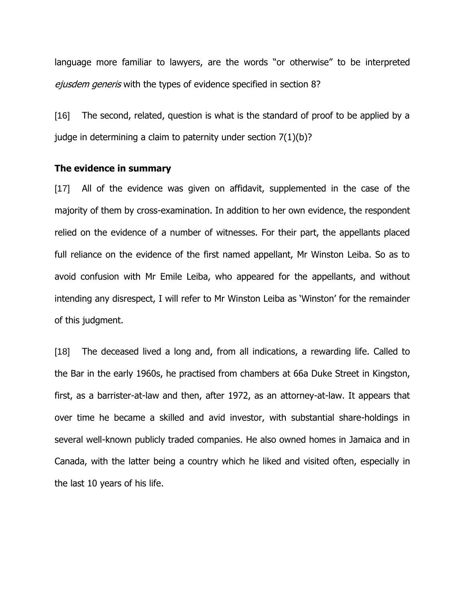language more familiar to lawyers, are the words "or otherwise" to be interpreted ejusdem generis with the types of evidence specified in section 8?

[16] The second, related, question is what is the standard of proof to be applied by a judge in determining a claim to paternity under section 7(1)(b)?

#### **The evidence in summary**

[17] All of the evidence was given on affidavit, supplemented in the case of the majority of them by cross-examination. In addition to her own evidence, the respondent relied on the evidence of a number of witnesses. For their part, the appellants placed full reliance on the evidence of the first named appellant, Mr Winston Leiba. So as to avoid confusion with Mr Emile Leiba, who appeared for the appellants, and without intending any disrespect, I will refer to Mr Winston Leiba as 'Winston' for the remainder of this judgment.

[18] The deceased lived a long and, from all indications, a rewarding life. Called to the Bar in the early 1960s, he practised from chambers at 66a Duke Street in Kingston, first, as a barrister-at-law and then, after 1972, as an attorney-at-law. It appears that over time he became a skilled and avid investor, with substantial share-holdings in several well-known publicly traded companies. He also owned homes in Jamaica and in Canada, with the latter being a country which he liked and visited often, especially in the last 10 years of his life.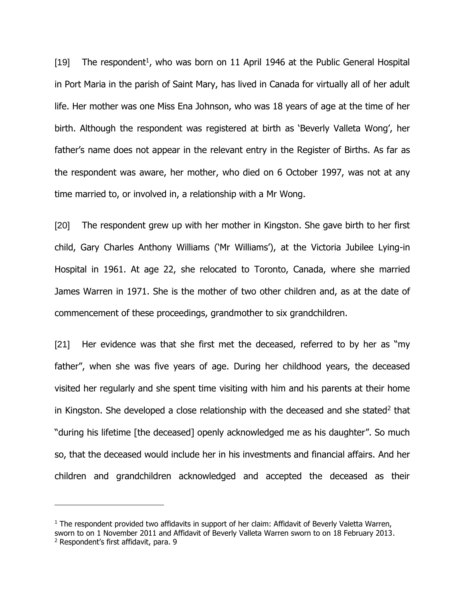[19] The respondent<sup>1</sup>, who was born on 11 April 1946 at the Public General Hospital in Port Maria in the parish of Saint Mary, has lived in Canada for virtually all of her adult life. Her mother was one Miss Ena Johnson, who was 18 years of age at the time of her birth. Although the respondent was registered at birth as 'Beverly Valleta Wong', her father's name does not appear in the relevant entry in the Register of Births. As far as the respondent was aware, her mother, who died on 6 October 1997, was not at any time married to, or involved in, a relationship with a Mr Wong.

[20] The respondent grew up with her mother in Kingston. She gave birth to her first child, Gary Charles Anthony Williams ('Mr Williams'), at the Victoria Jubilee Lying-in Hospital in 1961. At age 22, she relocated to Toronto, Canada, where she married James Warren in 1971. She is the mother of two other children and, as at the date of commencement of these proceedings, grandmother to six grandchildren.

[21] Her evidence was that she first met the deceased, referred to by her as "my father", when she was five years of age. During her childhood years, the deceased visited her regularly and she spent time visiting with him and his parents at their home in Kingston. She developed a close relationship with the deceased and she stated<sup>2</sup> that "during his lifetime [the deceased] openly acknowledged me as his daughter". So much so, that the deceased would include her in his investments and financial affairs. And her children and grandchildren acknowledged and accepted the deceased as their

 $1$  The respondent provided two affidavits in support of her claim: Affidavit of Beverly Valetta Warren, sworn to on 1 November 2011 and Affidavit of Beverly Valleta Warren sworn to on 18 February 2013. <sup>2</sup> Respondent's first affidavit, para. 9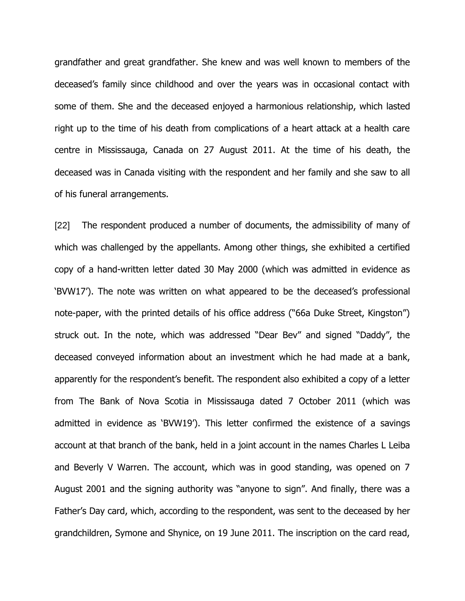grandfather and great grandfather. She knew and was well known to members of the deceased's family since childhood and over the years was in occasional contact with some of them. She and the deceased enjoyed a harmonious relationship, which lasted right up to the time of his death from complications of a heart attack at a health care centre in Mississauga, Canada on 27 August 2011. At the time of his death, the deceased was in Canada visiting with the respondent and her family and she saw to all of his funeral arrangements.

[22] The respondent produced a number of documents, the admissibility of many of which was challenged by the appellants. Among other things, she exhibited a certified copy of a hand-written letter dated 30 May 2000 (which was admitted in evidence as 'BVW17'). The note was written on what appeared to be the deceased's professional note-paper, with the printed details of his office address ("66a Duke Street, Kingston") struck out. In the note, which was addressed "Dear Bev" and signed "Daddy", the deceased conveyed information about an investment which he had made at a bank, apparently for the respondent's benefit. The respondent also exhibited a copy of a letter from The Bank of Nova Scotia in Mississauga dated 7 October 2011 (which was admitted in evidence as 'BVW19'). This letter confirmed the existence of a savings account at that branch of the bank, held in a joint account in the names Charles L Leiba and Beverly V Warren. The account, which was in good standing, was opened on 7 August 2001 and the signing authority was "anyone to sign". And finally, there was a Father's Day card, which, according to the respondent, was sent to the deceased by her grandchildren, Symone and Shynice, on 19 June 2011. The inscription on the card read,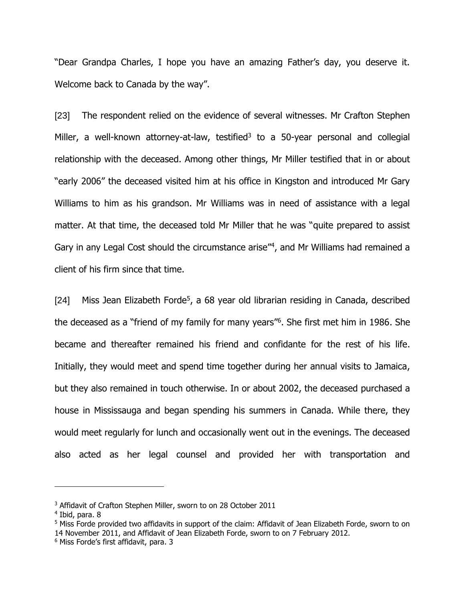"Dear Grandpa Charles, I hope you have an amazing Father's day, you deserve it. Welcome back to Canada by the way".

[23] The respondent relied on the evidence of several witnesses. Mr Crafton Stephen Miller, a well-known attorney-at-law, testified<sup>3</sup> to a 50-year personal and collegial relationship with the deceased. Among other things, Mr Miller testified that in or about "early 2006" the deceased visited him at his office in Kingston and introduced Mr Gary Williams to him as his grandson. Mr Williams was in need of assistance with a legal matter. At that time, the deceased told Mr Miller that he was "quite prepared to assist Gary in any Legal Cost should the circumstance arise<sup>"4</sup>, and Mr Williams had remained a client of his firm since that time.

[24] Miss Jean Elizabeth Forde<sup>5</sup>, a 68 year old librarian residing in Canada, described the deceased as a "friend of my family for many years"<sup>6</sup>. She first met him in 1986. She became and thereafter remained his friend and confidante for the rest of his life. Initially, they would meet and spend time together during her annual visits to Jamaica, but they also remained in touch otherwise. In or about 2002, the deceased purchased a house in Mississauga and began spending his summers in Canada. While there, they would meet regularly for lunch and occasionally went out in the evenings. The deceased also acted as her legal counsel and provided her with transportation and

<sup>&</sup>lt;sup>3</sup> Affidavit of Crafton Stephen Miller, sworn to on 28 October 2011

<sup>4</sup> Ibid, para. 8

<sup>5</sup> Miss Forde provided two affidavits in support of the claim: Affidavit of Jean Elizabeth Forde, sworn to on 14 November 2011, and Affidavit of Jean Elizabeth Forde, sworn to on 7 February 2012.

<sup>6</sup> Miss Forde's first affidavit, para. 3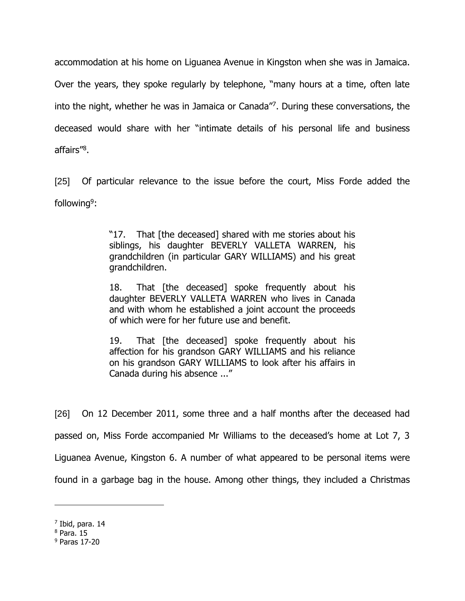accommodation at his home on Liguanea Avenue in Kingston when she was in Jamaica.

Over the years, they spoke regularly by telephone, "many hours at a time, often late into the night, whether he was in Jamaica or Canada"<sup>7</sup> . During these conversations, the deceased would share with her "intimate details of his personal life and business affairs"<sup>8</sup>.

[25] Of particular relevance to the issue before the court, Miss Forde added the following<sup>9</sup>:

> "17. That [the deceased] shared with me stories about his siblings, his daughter BEVERLY VALLETA WARREN, his grandchildren (in particular GARY WILLIAMS) and his great grandchildren.

> 18. That [the deceased] spoke frequently about his daughter BEVERLY VALLETA WARREN who lives in Canada and with whom he established a joint account the proceeds of which were for her future use and benefit.

> 19. That [the deceased] spoke frequently about his affection for his grandson GARY WILLIAMS and his reliance on his grandson GARY WILLIAMS to look after his affairs in Canada during his absence ..."

[26] On 12 December 2011, some three and a half months after the deceased had passed on, Miss Forde accompanied Mr Williams to the deceased's home at Lot 7, 3 Liguanea Avenue, Kingston 6. A number of what appeared to be personal items were found in a garbage bag in the house. Among other things, they included a Christmas

<sup>7</sup> Ibid, para. 14

 $8$  Para. 15

<sup>9</sup> Paras 17-20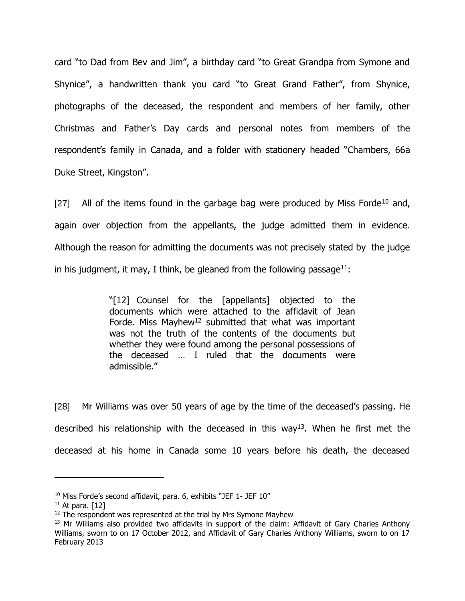card "to Dad from Bev and Jim", a birthday card "to Great Grandpa from Symone and Shynice", a handwritten thank you card "to Great Grand Father", from Shynice, photographs of the deceased, the respondent and members of her family, other Christmas and Father's Day cards and personal notes from members of the respondent's family in Canada, and a folder with stationery headed "Chambers, 66a Duke Street, Kingston".

[27] All of the items found in the garbage bag were produced by Miss Forde<sup>10</sup> and, again over objection from the appellants, the judge admitted them in evidence. Although the reason for admitting the documents was not precisely stated by the judge in his judgment, it may, I think, be gleaned from the following passage<sup>11</sup>:

> "[12] Counsel for the [appellants] objected to the documents which were attached to the affidavit of Jean Forde. Miss Mayhew<sup>12</sup> submitted that what was important was not the truth of the contents of the documents but whether they were found among the personal possessions of the deceased … I ruled that the documents were admissible."

[28] Mr Williams was over 50 years of age by the time of the deceased's passing. He described his relationship with the deceased in this way<sup>13</sup>. When he first met the deceased at his home in Canada some 10 years before his death, the deceased

 $10$  Miss Forde's second affidavit, para. 6, exhibits "JEF  $1$ - JEF  $10''$ 

 $11$  At para. [12]

<sup>&</sup>lt;sup>12</sup> The respondent was represented at the trial by Mrs Symone Mayhew

<sup>&</sup>lt;sup>13</sup> Mr Williams also provided two affidavits in support of the claim: Affidavit of Gary Charles Anthony Williams, sworn to on 17 October 2012, and Affidavit of Gary Charles Anthony Williams, sworn to on 17 February 2013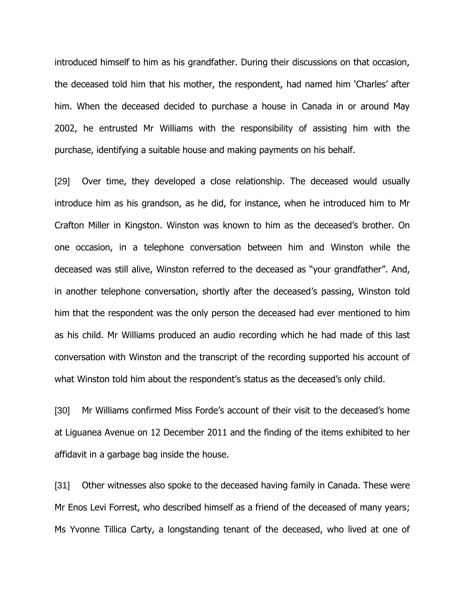introduced himself to him as his grandfather. During their discussions on that occasion, the deceased told him that his mother, the respondent, had named him 'Charles' after him. When the deceased decided to purchase a house in Canada in or around May 2002, he entrusted Mr Williams with the responsibility of assisting him with the purchase, identifying a suitable house and making payments on his behalf.

[29] Over time, they developed a close relationship. The deceased would usually introduce him as his grandson, as he did, for instance, when he introduced him to Mr Crafton Miller in Kingston. Winston was known to him as the deceased's brother. On one occasion, in a telephone conversation between him and Winston while the deceased was still alive, Winston referred to the deceased as "your grandfather". And, in another telephone conversation, shortly after the deceased's passing, Winston told him that the respondent was the only person the deceased had ever mentioned to him as his child. Mr Williams produced an audio recording which he had made of this last conversation with Winston and the transcript of the recording supported his account of what Winston told him about the respondent's status as the deceased's only child.

[30] Mr Williams confirmed Miss Forde's account of their visit to the deceased's home at Liguanea Avenue on 12 December 2011 and the finding of the items exhibited to her affidavit in a garbage bag inside the house.

[31] Other witnesses also spoke to the deceased having family in Canada. These were Mr Enos Levi Forrest, who described himself as a friend of the deceased of many years; Ms Yvonne Tillica Carty, a longstanding tenant of the deceased, who lived at one of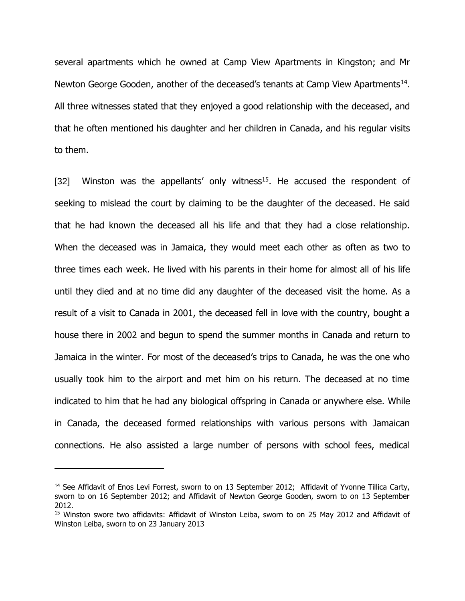several apartments which he owned at Camp View Apartments in Kingston; and Mr Newton George Gooden, another of the deceased's tenants at Camp View Apartments<sup>14</sup>. All three witnesses stated that they enjoyed a good relationship with the deceased, and that he often mentioned his daughter and her children in Canada, and his regular visits to them.

[32] Winston was the appellants' only witness<sup>15</sup>. He accused the respondent of seeking to mislead the court by claiming to be the daughter of the deceased. He said that he had known the deceased all his life and that they had a close relationship. When the deceased was in Jamaica, they would meet each other as often as two to three times each week. He lived with his parents in their home for almost all of his life until they died and at no time did any daughter of the deceased visit the home. As a result of a visit to Canada in 2001, the deceased fell in love with the country, bought a house there in 2002 and begun to spend the summer months in Canada and return to Jamaica in the winter. For most of the deceased's trips to Canada, he was the one who usually took him to the airport and met him on his return. The deceased at no time indicated to him that he had any biological offspring in Canada or anywhere else. While in Canada, the deceased formed relationships with various persons with Jamaican connections. He also assisted a large number of persons with school fees, medical

<sup>&</sup>lt;sup>14</sup> See Affidavit of Enos Levi Forrest, sworn to on 13 September 2012; Affidavit of Yvonne Tillica Carty, sworn to on 16 September 2012; and Affidavit of Newton George Gooden, sworn to on 13 September 2012.

<sup>&</sup>lt;sup>15</sup> Winston swore two affidavits: Affidavit of Winston Leiba, sworn to on 25 May 2012 and Affidavit of Winston Leiba, sworn to on 23 January 2013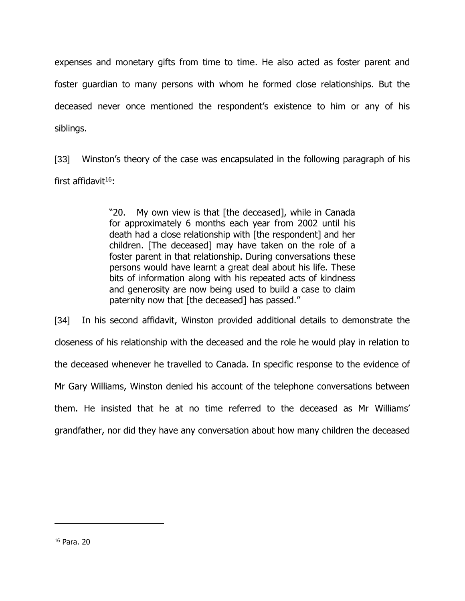expenses and monetary gifts from time to time. He also acted as foster parent and foster guardian to many persons with whom he formed close relationships. But the deceased never once mentioned the respondent's existence to him or any of his siblings.

[33] Winston's theory of the case was encapsulated in the following paragraph of his first affidavit $16$ :

> "20. My own view is that [the deceased], while in Canada for approximately 6 months each year from 2002 until his death had a close relationship with [the respondent] and her children. [The deceased] may have taken on the role of a foster parent in that relationship. During conversations these persons would have learnt a great deal about his life. These bits of information along with his repeated acts of kindness and generosity are now being used to build a case to claim paternity now that [the deceased] has passed."

[34] In his second affidavit, Winston provided additional details to demonstrate the closeness of his relationship with the deceased and the role he would play in relation to the deceased whenever he travelled to Canada. In specific response to the evidence of Mr Gary Williams, Winston denied his account of the telephone conversations between them. He insisted that he at no time referred to the deceased as Mr Williams' grandfather, nor did they have any conversation about how many children the deceased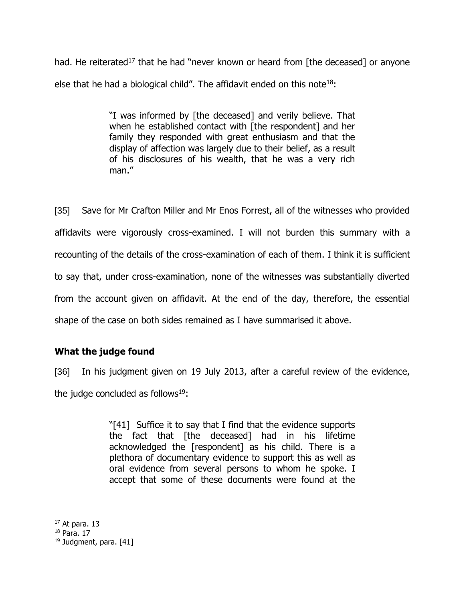had. He reiterated<sup>17</sup> that he had "never known or heard from [the deceased] or anyone else that he had a biological child". The affidavit ended on this note<sup>18</sup>:

> "I was informed by [the deceased] and verily believe. That when he established contact with [the respondent] and her family they responded with great enthusiasm and that the display of affection was largely due to their belief, as a result of his disclosures of his wealth, that he was a very rich man."

[35] Save for Mr Crafton Miller and Mr Enos Forrest, all of the witnesses who provided affidavits were vigorously cross-examined. I will not burden this summary with a recounting of the details of the cross-examination of each of them. I think it is sufficient to say that, under cross-examination, none of the witnesses was substantially diverted from the account given on affidavit. At the end of the day, therefore, the essential shape of the case on both sides remained as I have summarised it above.

# **What the judge found**

[36] In his judgment given on 19 July 2013, after a careful review of the evidence, the judge concluded as follows $19$ :

> "[41] Suffice it to say that I find that the evidence supports the fact that [the deceased] had in his lifetime acknowledged the [respondent] as his child. There is a plethora of documentary evidence to support this as well as oral evidence from several persons to whom he spoke. I accept that some of these documents were found at the

 $17$  At para. 13

 $18$  Para. 17

<sup>&</sup>lt;sup>19</sup> Judgment, para. [41]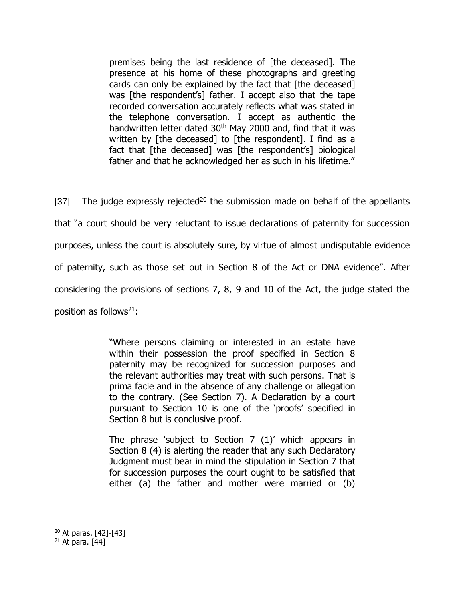premises being the last residence of [the deceased]. The presence at his home of these photographs and greeting cards can only be explained by the fact that [the deceased] was [the respondent's] father. I accept also that the tape recorded conversation accurately reflects what was stated in the telephone conversation. I accept as authentic the handwritten letter dated 30<sup>th</sup> May 2000 and, find that it was written by [the deceased] to [the respondent]. I find as a fact that [the deceased] was [the respondent's] biological father and that he acknowledged her as such in his lifetime."

[37] The judge expressly rejected<sup>20</sup> the submission made on behalf of the appellants that "a court should be very reluctant to issue declarations of paternity for succession purposes, unless the court is absolutely sure, by virtue of almost undisputable evidence of paternity, such as those set out in Section 8 of the Act or DNA evidence". After considering the provisions of sections 7, 8, 9 and 10 of the Act, the judge stated the position as follows $21$ :

> "Where persons claiming or interested in an estate have within their possession the proof specified in Section 8 paternity may be recognized for succession purposes and the relevant authorities may treat with such persons. That is prima facie and in the absence of any challenge or allegation to the contrary. (See Section 7). A Declaration by a court pursuant to Section 10 is one of the 'proofs' specified in Section 8 but is conclusive proof.

> The phrase 'subject to Section 7 (1)' which appears in Section 8 (4) is alerting the reader that any such Declaratory Judgment must bear in mind the stipulation in Section 7 that for succession purposes the court ought to be satisfied that either (a) the father and mother were married or (b)

<sup>20</sup> At paras. [42]-[43]

 $21$  At para. [44]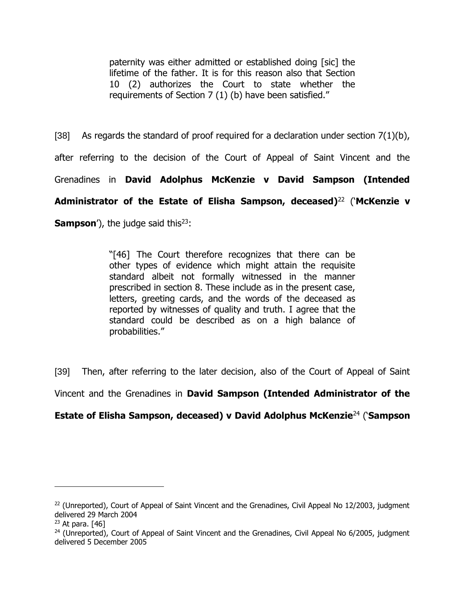paternity was either admitted or established doing [sic] the lifetime of the father. It is for this reason also that Section 10 (2) authorizes the Court to state whether the requirements of Section 7 (1) (b) have been satisfied."

[38] As regards the standard of proof required for a declaration under section  $7(1)(b)$ , after referring to the decision of the Court of Appeal of Saint Vincent and the Grenadines in **David Adolphus McKenzie v David Sampson (Intended Administrator of the Estate of Elisha Sampson, deceased)**<sup>22</sup> ('**McKenzie v Sampson**'), the judge said this<sup>23</sup>:

> "[46] The Court therefore recognizes that there can be other types of evidence which might attain the requisite standard albeit not formally witnessed in the manner prescribed in section 8. These include as in the present case, letters, greeting cards, and the words of the deceased as reported by witnesses of quality and truth. I agree that the standard could be described as on a high balance of probabilities."

[39] Then, after referring to the later decision, also of the Court of Appeal of Saint

Vincent and the Grenadines in **David Sampson (Intended Administrator of the** 

# **Estate of Elisha Sampson, deceased) v David Adolphus McKenzie**<sup>24</sup> ('**Sampson**

<sup>&</sup>lt;sup>22</sup> (Unreported), Court of Appeal of Saint Vincent and the Grenadines, Civil Appeal No 12/2003, judgment delivered 29 March 2004

 $23$  At para. [46]

<sup>&</sup>lt;sup>24</sup> (Unreported), Court of Appeal of Saint Vincent and the Grenadines, Civil Appeal No 6/2005, judgment delivered 5 December 2005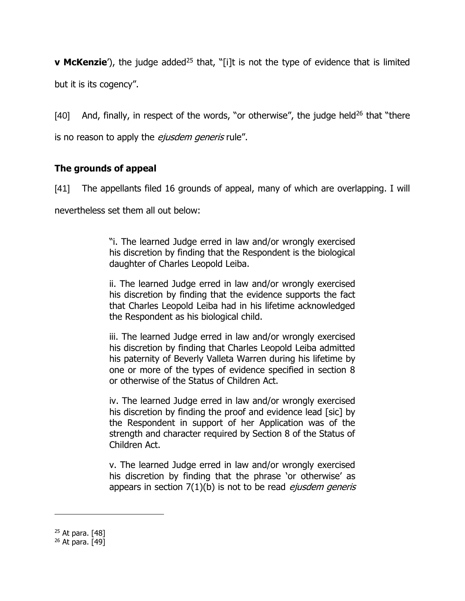**v McKenzie**<sup>'</sup>), the judge added<sup>25</sup> that, "[i]t is not the type of evidence that is limited but it is its cogency".

[40] And, finally, in respect of the words, "or otherwise", the judge held<sup>26</sup> that "there is no reason to apply the *ejusdem generis* rule".

# **The grounds of appeal**

[41] The appellants filed 16 grounds of appeal, many of which are overlapping. I will

nevertheless set them all out below:

"i. The learned Judge erred in law and/or wrongly exercised his discretion by finding that the Respondent is the biological daughter of Charles Leopold Leiba.

ii. The learned Judge erred in law and/or wrongly exercised his discretion by finding that the evidence supports the fact that Charles Leopold Leiba had in his lifetime acknowledged the Respondent as his biological child.

iii. The learned Judge erred in law and/or wrongly exercised his discretion by finding that Charles Leopold Leiba admitted his paternity of Beverly Valleta Warren during his lifetime by one or more of the types of evidence specified in section 8 or otherwise of the Status of Children Act.

iv. The learned Judge erred in law and/or wrongly exercised his discretion by finding the proof and evidence lead [sic] by the Respondent in support of her Application was of the strength and character required by Section 8 of the Status of Children Act.

v. The learned Judge erred in law and/or wrongly exercised his discretion by finding that the phrase 'or otherwise' as appears in section  $7(1)(b)$  is not to be read *ejusdem generis* 

<sup>25</sup> At para. [48]

<sup>26</sup> At para. [49]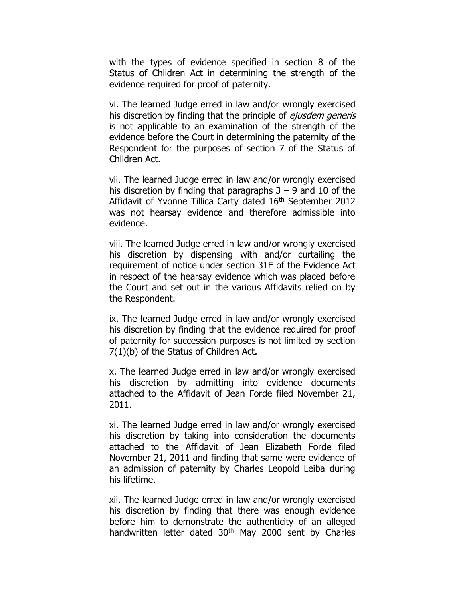with the types of evidence specified in section 8 of the Status of Children Act in determining the strength of the evidence required for proof of paternity.

vi. The learned Judge erred in law and/or wrongly exercised his discretion by finding that the principle of *ejusdem generis* is not applicable to an examination of the strength of the evidence before the Court in determining the paternity of the Respondent for the purposes of section 7 of the Status of Children Act.

vii. The learned Judge erred in law and/or wrongly exercised his discretion by finding that paragraphs  $3 - 9$  and  $10$  of the Affidavit of Yvonne Tillica Carty dated 16<sup>th</sup> September 2012 was not hearsay evidence and therefore admissible into evidence.

viii. The learned Judge erred in law and/or wrongly exercised his discretion by dispensing with and/or curtailing the requirement of notice under section 31E of the Evidence Act in respect of the hearsay evidence which was placed before the Court and set out in the various Affidavits relied on by the Respondent.

ix. The learned Judge erred in law and/or wrongly exercised his discretion by finding that the evidence required for proof of paternity for succession purposes is not limited by section 7(1)(b) of the Status of Children Act.

x. The learned Judge erred in law and/or wrongly exercised his discretion by admitting into evidence documents attached to the Affidavit of Jean Forde filed November 21, 2011.

xi. The learned Judge erred in law and/or wrongly exercised his discretion by taking into consideration the documents attached to the Affidavit of Jean Elizabeth Forde filed November 21, 2011 and finding that same were evidence of an admission of paternity by Charles Leopold Leiba during his lifetime.

xii. The learned Judge erred in law and/or wrongly exercised his discretion by finding that there was enough evidence before him to demonstrate the authenticity of an alleged handwritten letter dated 30<sup>th</sup> May 2000 sent by Charles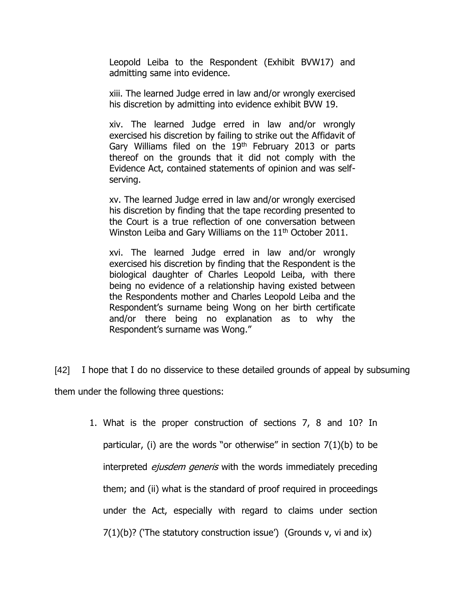Leopold Leiba to the Respondent (Exhibit BVW17) and admitting same into evidence.

xiii. The learned Judge erred in law and/or wrongly exercised his discretion by admitting into evidence exhibit BVW 19.

xiv. The learned Judge erred in law and/or wrongly exercised his discretion by failing to strike out the Affidavit of Gary Williams filed on the 19<sup>th</sup> February 2013 or parts thereof on the grounds that it did not comply with the Evidence Act, contained statements of opinion and was selfserving.

xv. The learned Judge erred in law and/or wrongly exercised his discretion by finding that the tape recording presented to the Court is a true reflection of one conversation between Winston Leiba and Gary Williams on the 11<sup>th</sup> October 2011.

xvi. The learned Judge erred in law and/or wrongly exercised his discretion by finding that the Respondent is the biological daughter of Charles Leopold Leiba, with there being no evidence of a relationship having existed between the Respondents mother and Charles Leopold Leiba and the Respondent's surname being Wong on her birth certificate and/or there being no explanation as to why the Respondent's surname was Wong."

[42] I hope that I do no disservice to these detailed grounds of appeal by subsuming them under the following three questions:

1. What is the proper construction of sections 7, 8 and 10? In particular, (i) are the words "or otherwise" in section  $7(1)(b)$  to be interpreted *ejusdem generis* with the words immediately preceding them; and (ii) what is the standard of proof required in proceedings under the Act, especially with regard to claims under section 7(1)(b)? ('The statutory construction issue') (Grounds v, vi and ix)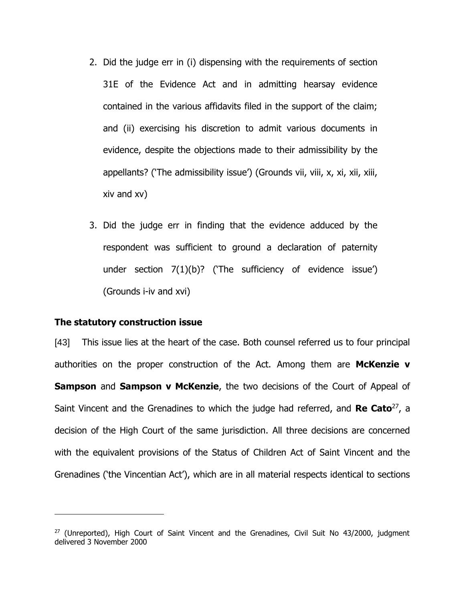- 2. Did the judge err in (i) dispensing with the requirements of section 31E of the Evidence Act and in admitting hearsay evidence contained in the various affidavits filed in the support of the claim; and (ii) exercising his discretion to admit various documents in evidence, despite the objections made to their admissibility by the appellants? ('The admissibility issue') (Grounds vii, viii, x, xi, xii, xiii, xiv and xv)
- 3. Did the judge err in finding that the evidence adduced by the respondent was sufficient to ground a declaration of paternity under section 7(1)(b)? ('The sufficiency of evidence issue') (Grounds i-iv and xvi)

#### **The statutory construction issue**

 $\overline{a}$ 

[43] This issue lies at the heart of the case. Both counsel referred us to four principal authorities on the proper construction of the Act. Among them are **McKenzie v Sampson** and **Sampson v McKenzie**, the two decisions of the Court of Appeal of Saint Vincent and the Grenadines to which the judge had referred, and **Re Cato**<sup>27</sup>, a decision of the High Court of the same jurisdiction. All three decisions are concerned with the equivalent provisions of the Status of Children Act of Saint Vincent and the Grenadines ('the Vincentian Act'), which are in all material respects identical to sections

 $27$  (Unreported), High Court of Saint Vincent and the Grenadines, Civil Suit No 43/2000, judgment delivered 3 November 2000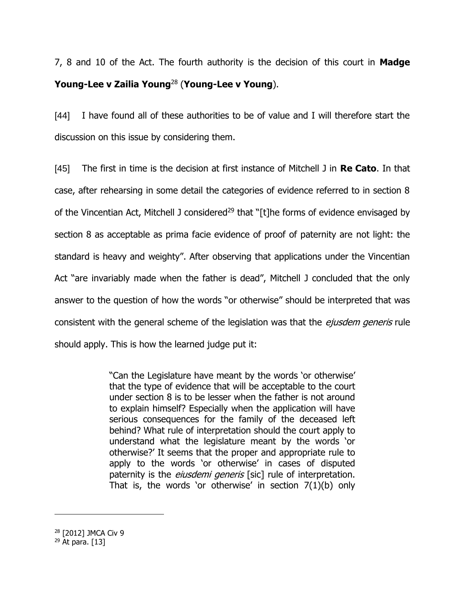7, 8 and 10 of the Act. The fourth authority is the decision of this court in **Madge Young-Lee v Zailia Young**<sup>28</sup> (**Young-Lee v Young**).

[44] I have found all of these authorities to be of value and I will therefore start the discussion on this issue by considering them.

[45] The first in time is the decision at first instance of Mitchell J in **Re Cato**. In that case, after rehearsing in some detail the categories of evidence referred to in section 8 of the Vincentian Act, Mitchell J considered<sup>29</sup> that "[t]he forms of evidence envisaged by section 8 as acceptable as prima facie evidence of proof of paternity are not light: the standard is heavy and weighty". After observing that applications under the Vincentian Act "are invariably made when the father is dead", Mitchell J concluded that the only answer to the question of how the words "or otherwise" should be interpreted that was consistent with the general scheme of the legislation was that the *ejusdem generis* rule should apply. This is how the learned judge put it:

> "Can the Legislature have meant by the words 'or otherwise' that the type of evidence that will be acceptable to the court under section 8 is to be lesser when the father is not around to explain himself? Especially when the application will have serious consequences for the family of the deceased left behind? What rule of interpretation should the court apply to understand what the legislature meant by the words 'or otherwise?' It seems that the proper and appropriate rule to apply to the words 'or otherwise' in cases of disputed paternity is the *eiusdemi generis* [sic] rule of interpretation. That is, the words 'or otherwise' in section  $7(1)(b)$  only

<sup>28</sup> [2012] JMCA Civ 9

 $29$  At para. [13]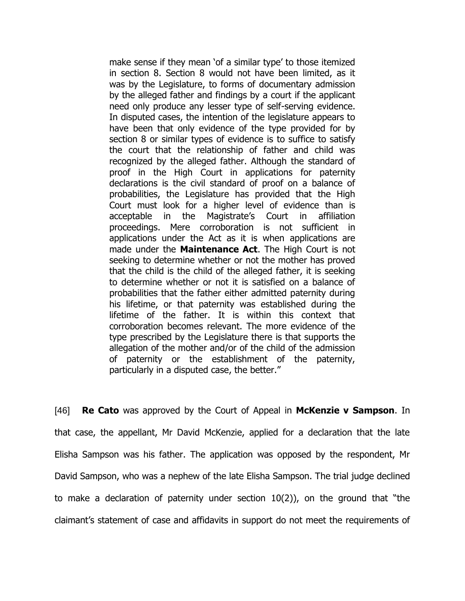make sense if they mean 'of a similar type' to those itemized in section 8. Section 8 would not have been limited, as it was by the Legislature, to forms of documentary admission by the alleged father and findings by a court if the applicant need only produce any lesser type of self-serving evidence. In disputed cases, the intention of the legislature appears to have been that only evidence of the type provided for by section 8 or similar types of evidence is to suffice to satisfy the court that the relationship of father and child was recognized by the alleged father. Although the standard of proof in the High Court in applications for paternity declarations is the civil standard of proof on a balance of probabilities, the Legislature has provided that the High Court must look for a higher level of evidence than is acceptable in the Magistrate's Court in affiliation proceedings. Mere corroboration is not sufficient in applications under the Act as it is when applications are made under the **Maintenance Act**. The High Court is not seeking to determine whether or not the mother has proved that the child is the child of the alleged father, it is seeking to determine whether or not it is satisfied on a balance of probabilities that the father either admitted paternity during his lifetime, or that paternity was established during the lifetime of the father. It is within this context that corroboration becomes relevant. The more evidence of the type prescribed by the Legislature there is that supports the allegation of the mother and/or of the child of the admission of paternity or the establishment of the paternity, particularly in a disputed case, the better."

[46] **Re Cato** was approved by the Court of Appeal in **McKenzie v Sampson**. In that case, the appellant, Mr David McKenzie, applied for a declaration that the late Elisha Sampson was his father. The application was opposed by the respondent, Mr David Sampson, who was a nephew of the late Elisha Sampson. The trial judge declined to make a declaration of paternity under section 10(2)), on the ground that "the claimant's statement of case and affidavits in support do not meet the requirements of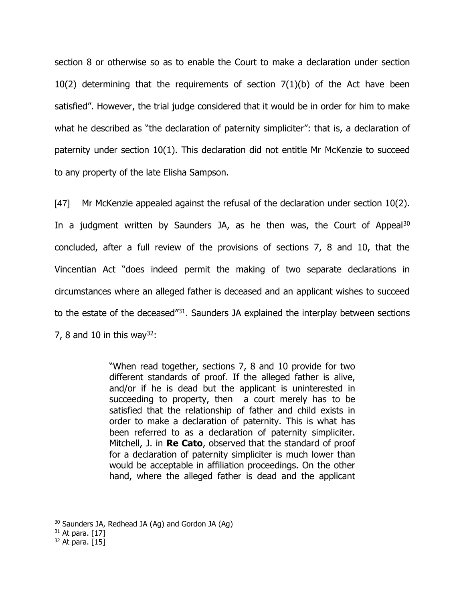section 8 or otherwise so as to enable the Court to make a declaration under section 10(2) determining that the requirements of section 7(1)(b) of the Act have been satisfied". However, the trial judge considered that it would be in order for him to make what he described as "the declaration of paternity simpliciter": that is, a declaration of paternity under section 10(1). This declaration did not entitle Mr McKenzie to succeed to any property of the late Elisha Sampson.

[47] Mr McKenzie appealed against the refusal of the declaration under section 10(2). In a judgment written by Saunders JA, as he then was, the Court of Appeal<sup>30</sup> concluded, after a full review of the provisions of sections 7, 8 and 10, that the Vincentian Act "does indeed permit the making of two separate declarations in circumstances where an alleged father is deceased and an applicant wishes to succeed to the estate of the deceased<sup>"31</sup>. Saunders JA explained the interplay between sections 7, 8 and 10 in this way<sup>32</sup>:

> "When read together, sections 7, 8 and 10 provide for two different standards of proof. If the alleged father is alive, and/or if he is dead but the applicant is uninterested in succeeding to property, then a court merely has to be satisfied that the relationship of father and child exists in order to make a declaration of paternity. This is what has been referred to as a declaration of paternity simpliciter. Mitchell, J. in **Re Cato**, observed that the standard of proof for a declaration of paternity simpliciter is much lower than would be acceptable in affiliation proceedings. On the other hand, where the alleged father is dead and the applicant

<sup>30</sup> Saunders JA, Redhead JA (Ag) and Gordon JA (Ag)

 $31$  At para. [17]

 $32$  At para. [15]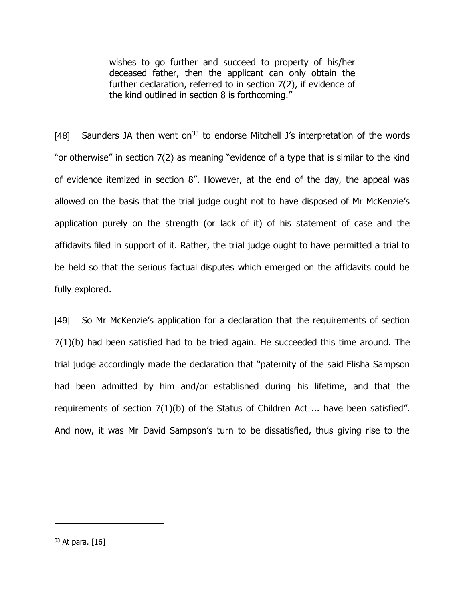wishes to go further and succeed to property of his/her deceased father, then the applicant can only obtain the further declaration, referred to in section 7(2), if evidence of the kind outlined in section 8 is forthcoming."

[48] Saunders JA then went on<sup>33</sup> to endorse Mitchell J's interpretation of the words "or otherwise" in section 7(2) as meaning "evidence of a type that is similar to the kind of evidence itemized in section 8". However, at the end of the day, the appeal was allowed on the basis that the trial judge ought not to have disposed of Mr McKenzie's application purely on the strength (or lack of it) of his statement of case and the affidavits filed in support of it. Rather, the trial judge ought to have permitted a trial to be held so that the serious factual disputes which emerged on the affidavits could be fully explored.

[49] So Mr McKenzie's application for a declaration that the requirements of section 7(1)(b) had been satisfied had to be tried again. He succeeded this time around. The trial judge accordingly made the declaration that "paternity of the said Elisha Sampson had been admitted by him and/or established during his lifetime, and that the requirements of section 7(1)(b) of the Status of Children Act ... have been satisfied". And now, it was Mr David Sampson's turn to be dissatisfied, thus giving rise to the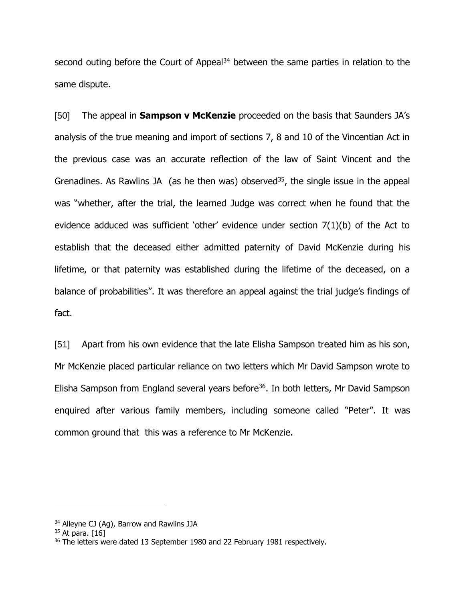second outing before the Court of Appeal<sup>34</sup> between the same parties in relation to the same dispute.

[50] The appeal in **Sampson v McKenzie** proceeded on the basis that Saunders JA's analysis of the true meaning and import of sections 7, 8 and 10 of the Vincentian Act in the previous case was an accurate reflection of the law of Saint Vincent and the Grenadines. As Rawlins JA (as he then was) observed<sup>35</sup>, the single issue in the appeal was "whether, after the trial, the learned Judge was correct when he found that the evidence adduced was sufficient 'other' evidence under section 7(1)(b) of the Act to establish that the deceased either admitted paternity of David McKenzie during his lifetime, or that paternity was established during the lifetime of the deceased, on a balance of probabilities". It was therefore an appeal against the trial judge's findings of fact.

[51] Apart from his own evidence that the late Elisha Sampson treated him as his son, Mr McKenzie placed particular reliance on two letters which Mr David Sampson wrote to Elisha Sampson from England several years before<sup>36</sup>. In both letters, Mr David Sampson enquired after various family members, including someone called "Peter". It was common ground that this was a reference to Mr McKenzie.

<sup>&</sup>lt;sup>34</sup> Alleyne CJ (Ag), Barrow and Rawlins JJA

 $35$  At para. [16]

<sup>&</sup>lt;sup>36</sup> The letters were dated 13 September 1980 and 22 February 1981 respectively.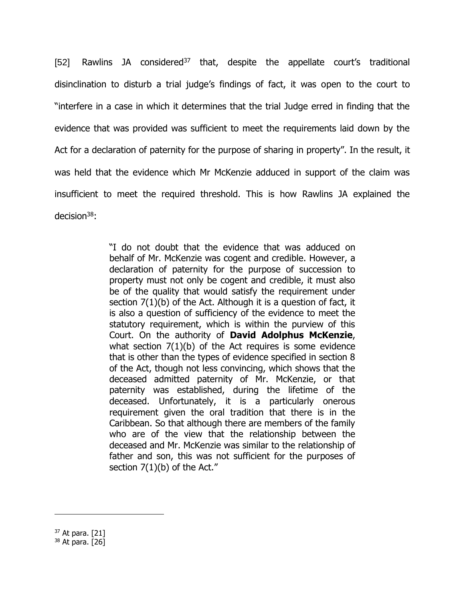[52] Rawlins JA considered<sup>37</sup> that, despite the appellate court's traditional disinclination to disturb a trial judge's findings of fact, it was open to the court to "interfere in a case in which it determines that the trial Judge erred in finding that the evidence that was provided was sufficient to meet the requirements laid down by the Act for a declaration of paternity for the purpose of sharing in property". In the result, it was held that the evidence which Mr McKenzie adduced in support of the claim was insufficient to meet the required threshold. This is how Rawlins JA explained the decision<sup>38</sup>:

> "I do not doubt that the evidence that was adduced on behalf of Mr. McKenzie was cogent and credible. However, a declaration of paternity for the purpose of succession to property must not only be cogent and credible, it must also be of the quality that would satisfy the requirement under section 7(1)(b) of the Act. Although it is a question of fact, it is also a question of sufficiency of the evidence to meet the statutory requirement, which is within the purview of this Court. On the authority of **David Adolphus McKenzie**, what section  $7(1)(b)$  of the Act requires is some evidence that is other than the types of evidence specified in section 8 of the Act, though not less convincing, which shows that the deceased admitted paternity of Mr. McKenzie, or that paternity was established, during the lifetime of the deceased. Unfortunately, it is a particularly onerous requirement given the oral tradition that there is in the Caribbean. So that although there are members of the family who are of the view that the relationship between the deceased and Mr. McKenzie was similar to the relationship of father and son, this was not sufficient for the purposes of section  $7(1)(b)$  of the Act."

 $37$  At para. [21]

 $38$  At para. [26]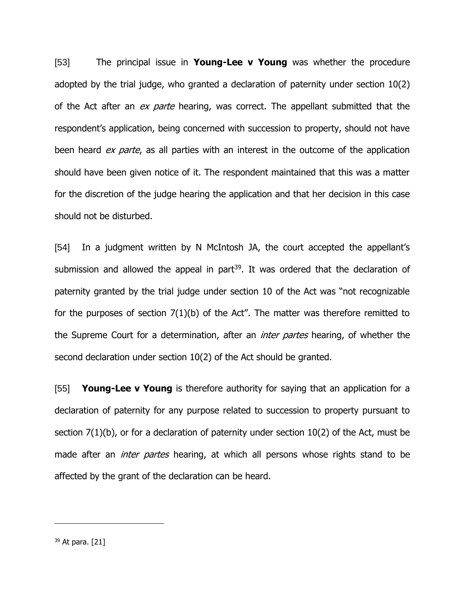[53] The principal issue in **Young-Lee v Young** was whether the procedure adopted by the trial judge, who granted a declaration of paternity under section 10(2) of the Act after an *ex parte* hearing, was correct. The appellant submitted that the respondent's application, being concerned with succession to property, should not have been heard ex parte, as all parties with an interest in the outcome of the application should have been given notice of it. The respondent maintained that this was a matter for the discretion of the judge hearing the application and that her decision in this case should not be disturbed.

[54] In a judgment written by N McIntosh JA, the court accepted the appellant's submission and allowed the appeal in part<sup>39</sup>. It was ordered that the declaration of paternity granted by the trial judge under section 10 of the Act was "not recognizable for the purposes of section 7(1)(b) of the Act". The matter was therefore remitted to the Supreme Court for a determination, after an *inter partes* hearing, of whether the second declaration under section 10(2) of the Act should be granted.

[55] **Young-Lee v Young** is therefore authority for saying that an application for a declaration of paternity for any purpose related to succession to property pursuant to section 7(1)(b), or for a declaration of paternity under section 10(2) of the Act, must be made after an *inter partes* hearing, at which all persons whose rights stand to be affected by the grant of the declaration can be heard.

 $39$  At para. [21]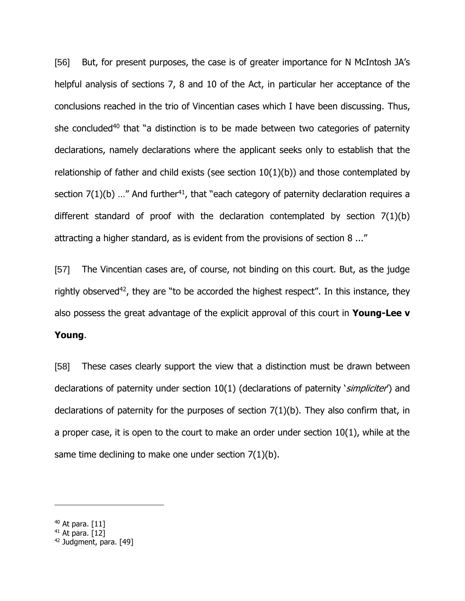[56] But, for present purposes, the case is of greater importance for N McIntosh JA's helpful analysis of sections 7, 8 and 10 of the Act, in particular her acceptance of the conclusions reached in the trio of Vincentian cases which I have been discussing. Thus, she concluded<sup>40</sup> that "a distinction is to be made between two categories of paternity declarations, namely declarations where the applicant seeks only to establish that the relationship of father and child exists (see section  $10(1)(b)$ ) and those contemplated by section  $7(1)(b)$  ..." And further<sup>41</sup>, that "each category of paternity declaration requires a different standard of proof with the declaration contemplated by section 7(1)(b) attracting a higher standard, as is evident from the provisions of section 8 ..."

[57] The Vincentian cases are, of course, not binding on this court. But, as the judge rightly observed<sup>42</sup>, they are "to be accorded the highest respect". In this instance, they also possess the great advantage of the explicit approval of this court in **Young-Lee v Young**.

[58] These cases clearly support the view that a distinction must be drawn between declarations of paternity under section 10(1) (declarations of paternity *'simpliciter'*) and declarations of paternity for the purposes of section 7(1)(b). They also confirm that, in a proper case, it is open to the court to make an order under section 10(1), while at the same time declining to make one under section 7(1)(b).

 $40$  At para.  $[11]$ 

 $41$  At para. [12]

<sup>&</sup>lt;sup>42</sup> Judgment, para. [49]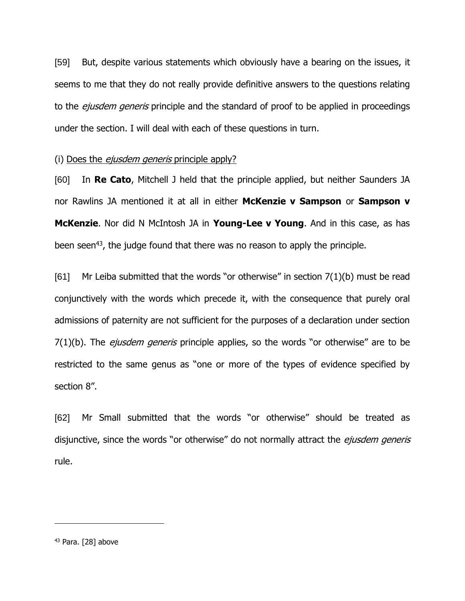[59] But, despite various statements which obviously have a bearing on the issues, it seems to me that they do not really provide definitive answers to the questions relating to the *ejusdem generis* principle and the standard of proof to be applied in proceedings under the section. I will deal with each of these questions in turn.

### (i) Does the *ejusdem generis* principle apply?

[60] In **Re Cato**, Mitchell J held that the principle applied, but neither Saunders JA nor Rawlins JA mentioned it at all in either **McKenzie v Sampson** or **Sampson v McKenzie**. Nor did N McIntosh JA in **Young-Lee v Young**. And in this case, as has been seen<sup>43</sup>, the judge found that there was no reason to apply the principle.

[61] Mr Leiba submitted that the words "or otherwise" in section  $7(1)(b)$  must be read conjunctively with the words which precede it, with the consequence that purely oral admissions of paternity are not sufficient for the purposes of a declaration under section  $7(1)(b)$ . The *ejusdem generis* principle applies, so the words "or otherwise" are to be restricted to the same genus as "one or more of the types of evidence specified by section 8".

[62] Mr Small submitted that the words "or otherwise" should be treated as disjunctive, since the words "or otherwise" do not normally attract the *ejusdem generis* rule.

 $43$  Para. [28] above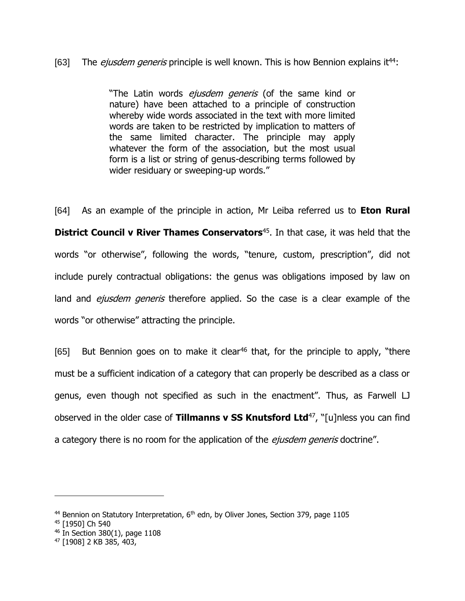## [63] The *ejusdem generis* principle is well known. This is how Bennion explains it<sup>44</sup>:

"The Latin words *ejusdem generis* (of the same kind or nature) have been attached to a principle of construction whereby wide words associated in the text with more limited words are taken to be restricted by implication to matters of the same limited character. The principle may apply whatever the form of the association, but the most usual form is a list or string of genus-describing terms followed by wider residuary or sweeping-up words."

[64] As an example of the principle in action, Mr Leiba referred us to **Eton Rural District Council v River Thames Conservators**<sup>45</sup>. In that case, it was held that the words "or otherwise", following the words, "tenure, custom, prescription", did not include purely contractual obligations: the genus was obligations imposed by law on land and *ejusdem generis* therefore applied. So the case is a clear example of the words "or otherwise" attracting the principle.

[65] But Bennion goes on to make it clear<sup>46</sup> that, for the principle to apply, "there must be a sufficient indication of a category that can properly be described as a class or genus, even though not specified as such in the enactment". Thus, as Farwell LJ observed in the older case of **Tillmanns v SS Knutsford Ltd**<sup>47</sup>, "[u]nless you can find a category there is no room for the application of the *ejusdem generis* doctrine".

<sup>&</sup>lt;sup>44</sup> Bennion on Statutory Interpretation, 6<sup>th</sup> edn, by Oliver Jones, Section 379, page 1105

<sup>45</sup> [1950] Ch 540

<sup>46</sup> In Section 380(1), page 1108

<sup>47</sup> [1908] 2 KB 385, 403,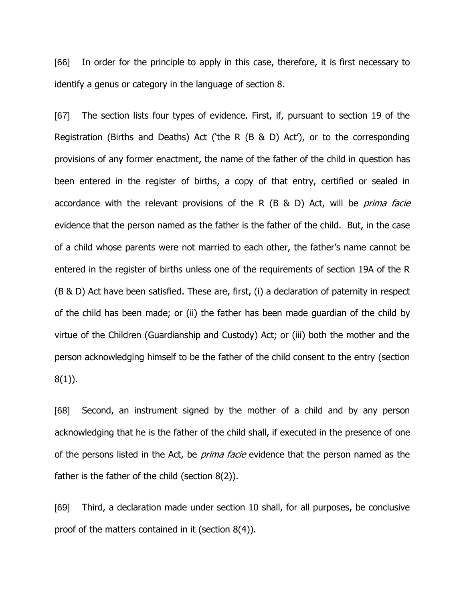[66] In order for the principle to apply in this case, therefore, it is first necessary to identify a genus or category in the language of section 8.

[67] The section lists four types of evidence. First, if, pursuant to section 19 of the Registration (Births and Deaths) Act ('the R (B & D) Act'), or to the corresponding provisions of any former enactment, the name of the father of the child in question has been entered in the register of births, a copy of that entry, certified or sealed in accordance with the relevant provisions of the R  $(B \& D)$  Act, will be *prima facie* evidence that the person named as the father is the father of the child. But, in the case of a child whose parents were not married to each other, the father's name cannot be entered in the register of births unless one of the requirements of section 19A of the R (B & D) Act have been satisfied. These are, first, (i) a declaration of paternity in respect of the child has been made; or (ii) the father has been made guardian of the child by virtue of the Children (Guardianship and Custody) Act; or (iii) both the mother and the person acknowledging himself to be the father of the child consent to the entry (section 8(1)).

[68] Second, an instrument signed by the mother of a child and by any person acknowledging that he is the father of the child shall, if executed in the presence of one of the persons listed in the Act, be *prima facie* evidence that the person named as the father is the father of the child (section 8(2)).

[69] Third, a declaration made under section 10 shall, for all purposes, be conclusive proof of the matters contained in it (section 8(4)).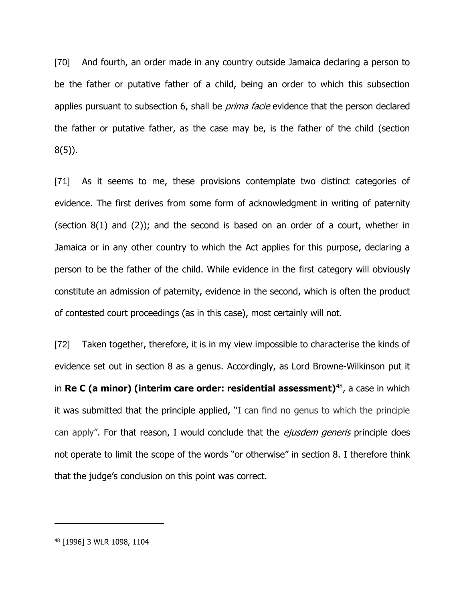[70] And fourth, an order made in any country outside Jamaica declaring a person to be the father or putative father of a child, being an order to which this subsection applies pursuant to subsection 6, shall be *prima facie* evidence that the person declared the father or putative father, as the case may be, is the father of the child (section 8(5)).

[71] As it seems to me, these provisions contemplate two distinct categories of evidence. The first derives from some form of acknowledgment in writing of paternity (section 8(1) and (2)); and the second is based on an order of a court, whether in Jamaica or in any other country to which the Act applies for this purpose, declaring a person to be the father of the child. While evidence in the first category will obviously constitute an admission of paternity, evidence in the second, which is often the product of contested court proceedings (as in this case), most certainly will not.

[72] Taken together, therefore, it is in my view impossible to characterise the kinds of evidence set out in section 8 as a genus. Accordingly, as Lord Browne-Wilkinson put it in **Re C (a minor) (interim care order: residential assessment)**<sup>48</sup> , a case in which it was submitted that the principle applied, "I can find no genus to which the principle can apply". For that reason, I would conclude that the *ejusdem generis* principle does not operate to limit the scope of the words "or otherwise" in section 8. I therefore think that the judge's conclusion on this point was correct.

<sup>48</sup> [1996] 3 WLR 1098, 1104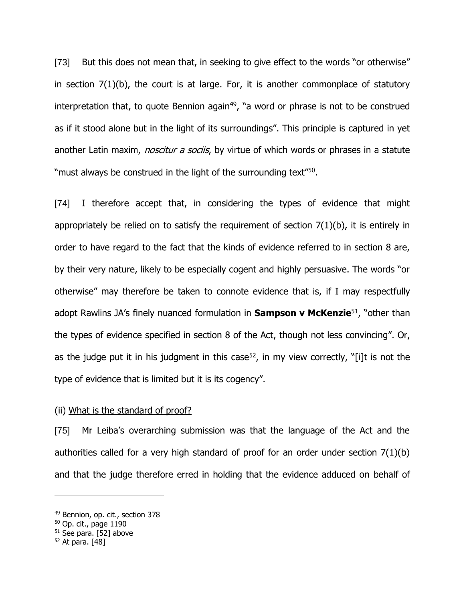[73] But this does not mean that, in seeking to give effect to the words "or otherwise" in section  $7(1)(b)$ , the court is at large. For, it is another commonplace of statutory interpretation that, to quote Bennion again<sup>49</sup>, "a word or phrase is not to be construed as if it stood alone but in the light of its surroundings". This principle is captured in yet another Latin maxim, *noscitur a sociis*, by virtue of which words or phrases in a statute "must always be construed in the light of the surrounding text"<sup>50</sup>.

[74] I therefore accept that, in considering the types of evidence that might appropriately be relied on to satisfy the requirement of section  $7(1)(b)$ , it is entirely in order to have regard to the fact that the kinds of evidence referred to in section 8 are, by their very nature, likely to be especially cogent and highly persuasive. The words "or otherwise" may therefore be taken to connote evidence that is, if I may respectfully adopt Rawlins JA's finely nuanced formulation in **Sampson v McKenzie**<sup>51</sup> , "other than the types of evidence specified in section 8 of the Act, though not less convincing". Or, as the judge put it in his judgment in this case<sup>52</sup>, in my view correctly, "[i]t is not the type of evidence that is limited but it is its cogency".

### (ii) What is the standard of proof?

[75] Mr Leiba's overarching submission was that the language of the Act and the authorities called for a very high standard of proof for an order under section 7(1)(b) and that the judge therefore erred in holding that the evidence adduced on behalf of

<sup>49</sup> Bennion, op. cit., section 378

<sup>50</sup> Op. cit., page 1190

 $51$  See para. [52] above

 $52$  At para. [48]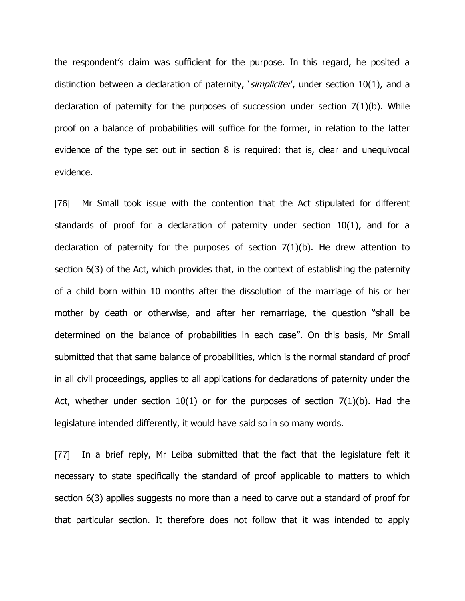the respondent's claim was sufficient for the purpose. In this regard, he posited a distinction between a declaration of paternity, *'simpliciter'*, under section 10(1), and a declaration of paternity for the purposes of succession under section 7(1)(b). While proof on a balance of probabilities will suffice for the former, in relation to the latter evidence of the type set out in section 8 is required: that is, clear and unequivocal evidence.

[76] Mr Small took issue with the contention that the Act stipulated for different standards of proof for a declaration of paternity under section 10(1), and for a declaration of paternity for the purposes of section 7(1)(b). He drew attention to section 6(3) of the Act, which provides that, in the context of establishing the paternity of a child born within 10 months after the dissolution of the marriage of his or her mother by death or otherwise, and after her remarriage, the question "shall be determined on the balance of probabilities in each case". On this basis, Mr Small submitted that that same balance of probabilities, which is the normal standard of proof in all civil proceedings, applies to all applications for declarations of paternity under the Act, whether under section  $10(1)$  or for the purposes of section  $7(1)(b)$ . Had the legislature intended differently, it would have said so in so many words.

[77] In a brief reply, Mr Leiba submitted that the fact that the legislature felt it necessary to state specifically the standard of proof applicable to matters to which section 6(3) applies suggests no more than a need to carve out a standard of proof for that particular section. It therefore does not follow that it was intended to apply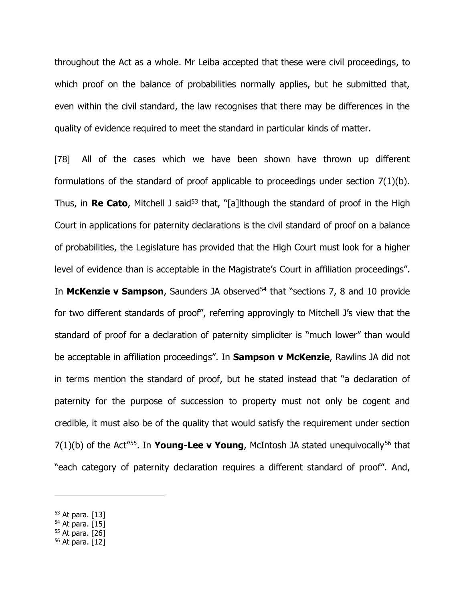throughout the Act as a whole. Mr Leiba accepted that these were civil proceedings, to which proof on the balance of probabilities normally applies, but he submitted that, even within the civil standard, the law recognises that there may be differences in the quality of evidence required to meet the standard in particular kinds of matter.

[78] All of the cases which we have been shown have thrown up different formulations of the standard of proof applicable to proceedings under section 7(1)(b). Thus, in **Re Cato**, Mitchell J said<sup>53</sup> that, "[a]lthough the standard of proof in the High Court in applications for paternity declarations is the civil standard of proof on a balance of probabilities, the Legislature has provided that the High Court must look for a higher level of evidence than is acceptable in the Magistrate's Court in affiliation proceedings". In McKenzie v Sampson, Saunders JA observed<sup>54</sup> that "sections 7, 8 and 10 provide for two different standards of proof", referring approvingly to Mitchell J's view that the standard of proof for a declaration of paternity simpliciter is "much lower" than would be acceptable in affiliation proceedings". In **Sampson v McKenzie**, Rawlins JA did not in terms mention the standard of proof, but he stated instead that "a declaration of paternity for the purpose of succession to property must not only be cogent and credible, it must also be of the quality that would satisfy the requirement under section 7(1)(b) of the Act"<sup>55</sup> . In **Young-Lee v Young**, McIntosh JA stated unequivocally<sup>56</sup> that "each category of paternity declaration requires a different standard of proof". And,

<sup>53</sup> At para. [13]

 $54$  At para. [15]

<sup>55</sup> At para. [26]

<sup>56</sup> At para. [12]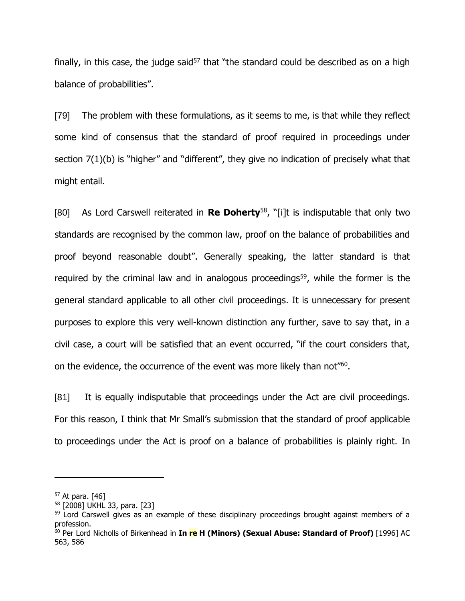finally, in this case, the judge said<sup>57</sup> that "the standard could be described as on a high balance of probabilities".

[79] The problem with these formulations, as it seems to me, is that while they reflect some kind of consensus that the standard of proof required in proceedings under section 7(1)(b) is "higher" and "different", they give no indication of precisely what that might entail.

[80] As Lord Carswell reiterated in **Re Doherty**<sup>58</sup>, "[i]t is indisputable that only two standards are recognised by the common law, proof on the balance of probabilities and proof beyond reasonable doubt". Generally speaking, the latter standard is that required by the criminal law and in analogous proceedings<sup>59</sup>, while the former is the general standard applicable to all other civil proceedings. It is unnecessary for present purposes to explore this very well-known distinction any further, save to say that, in a civil case, a court will be satisfied that an event occurred, "if the court considers that, on the evidence, the occurrence of the event was more likely than not"<sup>60</sup>.

[81] It is equally indisputable that proceedings under the Act are civil proceedings. For this reason, I think that Mr Small's submission that the standard of proof applicable to proceedings under the Act is proof on a balance of probabilities is plainly right. In

 $57$  At para. [46]

<sup>58</sup> [2008] UKHL 33, para. [23]

<sup>&</sup>lt;sup>59</sup> Lord Carswell gives as an example of these disciplinary proceedings brought against members of a profession.

<sup>60</sup> Per Lord Nicholls of Birkenhead in **In re H (Minors) (Sexual Abuse: Standard of Proof)** [\[1996\]](https://www.lexisnexis.com/uk/legal/search/enhRunRemoteLink.do?linkInfo=F%23GB%23AC%23sel1%251996%25year%251996%25page%25563%25&A=0.7521348673480575&backKey=20_T29229804496&service=citation&ersKey=23_T29229765427&langcountry=GB) AC [563,](https://www.lexisnexis.com/uk/legal/search/enhRunRemoteLink.do?linkInfo=F%23GB%23AC%23sel1%251996%25year%251996%25page%25563%25&A=0.7521348673480575&backKey=20_T29229804496&service=citation&ersKey=23_T29229765427&langcountry=GB) 586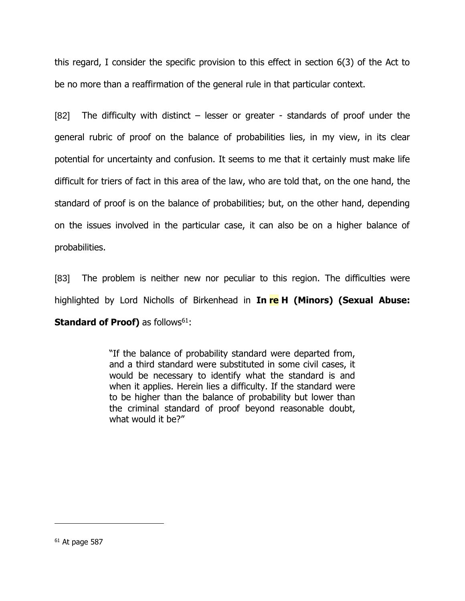this regard, I consider the specific provision to this effect in section 6(3) of the Act to be no more than a reaffirmation of the general rule in that particular context.

[82] The difficulty with distinct – lesser or greater - standards of proof under the general rubric of proof on the balance of probabilities lies, in my view, in its clear potential for uncertainty and confusion. It seems to me that it certainly must make life difficult for triers of fact in this area of the law, who are told that, on the one hand, the standard of proof is on the balance of probabilities; but, on the other hand, depending on the issues involved in the particular case, it can also be on a higher balance of probabilities.

[83] The problem is neither new nor peculiar to this region. The difficulties were highlighted by Lord Nicholls of Birkenhead in **In re H (Minors) (Sexual Abuse: Standard of Proof)** as follows<sup>61</sup>:

> "If the balance of probability standard were departed from, and a third standard were substituted in some civil cases, it would be necessary to identify what the standard is and when it applies. Herein lies a difficulty. If the standard were to be higher than the balance of probability but lower than the criminal standard of proof beyond reasonable doubt, what would it be?"

 $61$  At page 587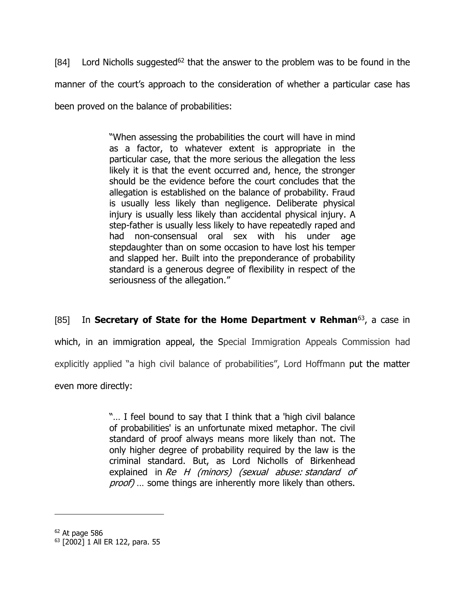[84] Lord Nicholls suggested<sup>62</sup> that the answer to the problem was to be found in the manner of the court's approach to the consideration of whether a particular case has been proved on the balance of probabilities:

> "When assessing the probabilities the court will have in mind as a factor, to whatever extent is appropriate in the particular case, that the more serious the allegation the less likely it is that the event occurred and, hence, the stronger should be the evidence before the court concludes that the allegation is established on the balance of probability. Fraud is usually less likely than negligence. Deliberate physical injury is usually less likely than accidental physical injury. A step-father is usually less likely to have repeatedly raped and had non-consensual oral sex with his under age stepdaughter than on some occasion to have lost his temper and slapped her. Built into the preponderance of probability standard is a generous degree of flexibility in respect of the seriousness of the allegation."

[85] In **Secretary of State for the Home Department v Rehman**<sup>63</sup>, a case in which, in an immigration appeal, the Special Immigration Appeals Commission had explicitly applied "a high civil balance of probabilities", Lord Hoffmann put the matter even more directly:

> "… I feel bound to say that I think that a 'high civil balance of probabilities' is an unfortunate mixed metaphor. The civil standard of proof always means more likely than not. The only higher degree of probability required by the law is the criminal standard. But, as Lord Nicholls of Birkenhead explained in Re H (minors) (sexual abuse: standard of proof) ... some things are inherently more likely than others.

 $62$  At page 586

<sup>63</sup> [2002] 1 All ER 122, para. 55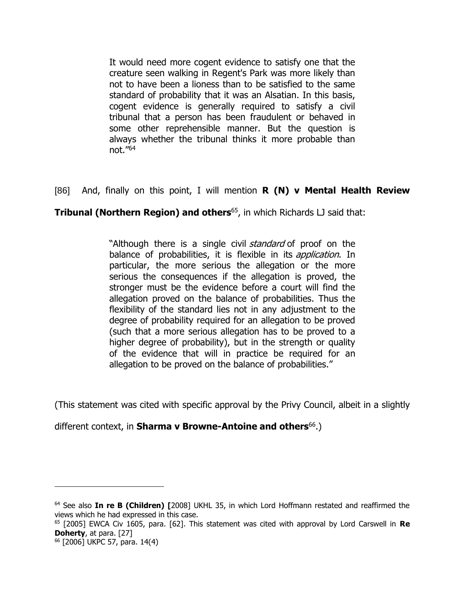It would need more cogent evidence to satisfy one that the creature seen walking in Regent's Park was more likely than not to have been a lioness than to be satisfied to the same standard of probability that it was an Alsatian. In this basis, cogent evidence is generally required to satisfy a civil tribunal that a person has been fraudulent or behaved in some other reprehensible manner. But the question is always whether the tribunal thinks it more probable than not." 64

# [86] And, finally on this point, I will mention **R (N) v Mental Health Review**

# **Tribunal (Northern Region) and others**<sup>65</sup>, in which Richards LJ said that:

"Although there is a single civil *standard* of proof on the balance of probabilities, it is flexible in its *application*. In particular, the more serious the allegation or the more serious the consequences if the allegation is proved, the stronger must be the evidence before a court will find the allegation proved on the balance of probabilities. Thus the flexibility of the standard lies not in any adjustment to the degree of probability required for an allegation to be proved (such that a more serious allegation has to be proved to a higher degree of probability), but in the strength or quality of the evidence that will in practice be required for an allegation to be proved on the balance of probabilities."

(This statement was cited with specific approval by the Privy Council, albeit in a slightly

different context, in **Sharma v Browne-Antoine and others**<sup>66</sup>.)

<sup>64</sup> See also **In re B (Children) [**2008] UKHL 35, in which Lord Hoffmann restated and reaffirmed the views which he had expressed in this case.

<sup>65</sup> [2005] EWCA Civ 1605, para. [62]. This statement was cited with approval by Lord Carswell in **Re Doherty**, at para. [27]

<sup>66</sup> [2006] UKPC 57, para. 14(4)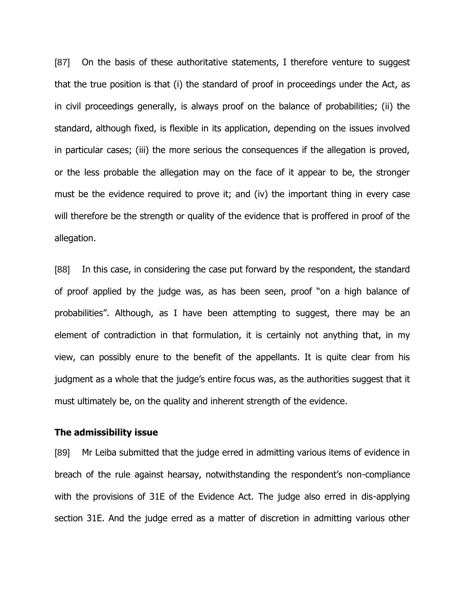[87] On the basis of these authoritative statements, I therefore venture to suggest that the true position is that (i) the standard of proof in proceedings under the Act, as in civil proceedings generally, is always proof on the balance of probabilities; (ii) the standard, although fixed, is flexible in its application, depending on the issues involved in particular cases; (iii) the more serious the consequences if the allegation is proved, or the less probable the allegation may on the face of it appear to be, the stronger must be the evidence required to prove it; and (iv) the important thing in every case will therefore be the strength or quality of the evidence that is proffered in proof of the allegation.

[88] In this case, in considering the case put forward by the respondent, the standard of proof applied by the judge was, as has been seen, proof "on a high balance of probabilities". Although, as I have been attempting to suggest, there may be an element of contradiction in that formulation, it is certainly not anything that, in my view, can possibly enure to the benefit of the appellants. It is quite clear from his judgment as a whole that the judge's entire focus was, as the authorities suggest that it must ultimately be, on the quality and inherent strength of the evidence.

#### **The admissibility issue**

[89] Mr Leiba submitted that the judge erred in admitting various items of evidence in breach of the rule against hearsay, notwithstanding the respondent's non-compliance with the provisions of 31E of the Evidence Act. The judge also erred in dis-applying section 31E. And the judge erred as a matter of discretion in admitting various other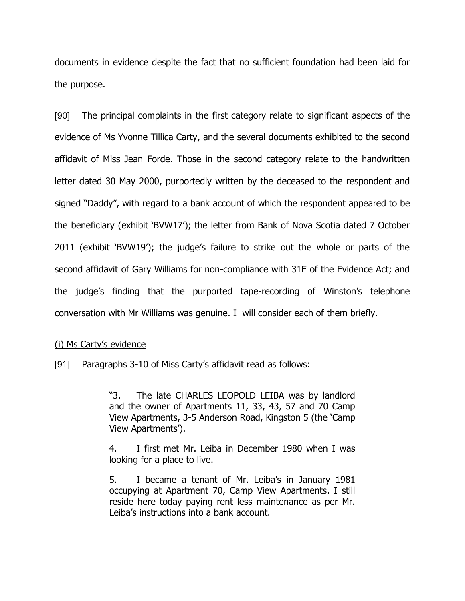documents in evidence despite the fact that no sufficient foundation had been laid for the purpose.

[90] The principal complaints in the first category relate to significant aspects of the evidence of Ms Yvonne Tillica Carty, and the several documents exhibited to the second affidavit of Miss Jean Forde. Those in the second category relate to the handwritten letter dated 30 May 2000, purportedly written by the deceased to the respondent and signed "Daddy", with regard to a bank account of which the respondent appeared to be the beneficiary (exhibit 'BVW17'); the letter from Bank of Nova Scotia dated 7 October 2011 (exhibit 'BVW19'); the judge's failure to strike out the whole or parts of the second affidavit of Gary Williams for non-compliance with 31E of the Evidence Act; and the judge's finding that the purported tape-recording of Winston's telephone conversation with Mr Williams was genuine. I will consider each of them briefly.

### (i) Ms Carty's evidence

[91] Paragraphs 3-10 of Miss Carty's affidavit read as follows:

"3. The late CHARLES LEOPOLD LEIBA was by landlord and the owner of Apartments 11, 33, 43, 57 and 70 Camp View Apartments, 3-5 Anderson Road, Kingston 5 (the 'Camp View Apartments').

4. I first met Mr. Leiba in December 1980 when I was looking for a place to live.

5. I became a tenant of Mr. Leiba's in January 1981 occupying at Apartment 70, Camp View Apartments. I still reside here today paying rent less maintenance as per Mr. Leiba's instructions into a bank account.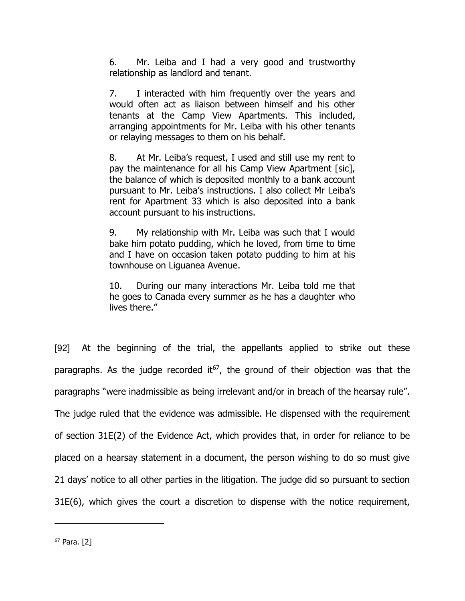6. Mr. Leiba and I had a very good and trustworthy relationship as landlord and tenant.

7. I interacted with him frequently over the years and would often act as liaison between himself and his other tenants at the Camp View Apartments. This included, arranging appointments for Mr. Leiba with his other tenants or relaying messages to them on his behalf.

8. At Mr. Leiba's request, I used and still use my rent to pay the maintenance for all his Camp View Apartment [sic], the balance of which is deposited monthly to a bank account pursuant to Mr. Leiba's instructions. I also collect Mr Leiba's rent for Apartment 33 which is also deposited into a bank account pursuant to his instructions.

9. My relationship with Mr. Leiba was such that I would bake him potato pudding, which he loved, from time to time and I have on occasion taken potato pudding to him at his townhouse on Liguanea Avenue.

10. During our many interactions Mr. Leiba told me that he goes to Canada every summer as he has a daughter who lives there."

[92] At the beginning of the trial, the appellants applied to strike out these paragraphs. As the judge recorded it<sup>67</sup>, the ground of their objection was that the paragraphs "were inadmissible as being irrelevant and/or in breach of the hearsay rule". The judge ruled that the evidence was admissible. He dispensed with the requirement of section 31E(2) of the Evidence Act, which provides that, in order for reliance to be placed on a hearsay statement in a document, the person wishing to do so must give 21 days' notice to all other parties in the litigation. The judge did so pursuant to section 31E(6), which gives the court a discretion to dispense with the notice requirement,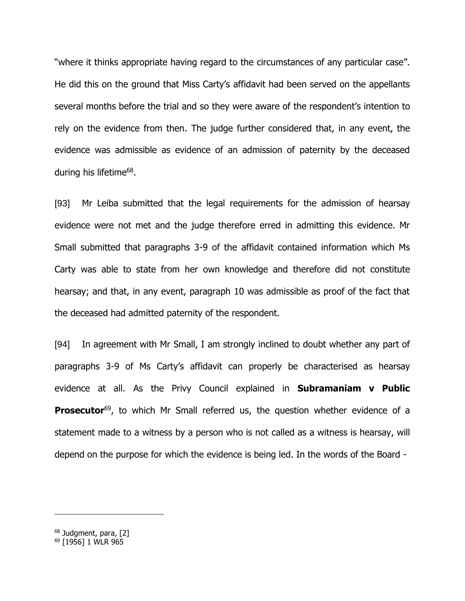"where it thinks appropriate having regard to the circumstances of any particular case". He did this on the ground that Miss Carty's affidavit had been served on the appellants several months before the trial and so they were aware of the respondent's intention to rely on the evidence from then. The judge further considered that, in any event, the evidence was admissible as evidence of an admission of paternity by the deceased during his lifetime<sup>68</sup>.

[93] Mr Leiba submitted that the legal requirements for the admission of hearsay evidence were not met and the judge therefore erred in admitting this evidence. Mr Small submitted that paragraphs 3-9 of the affidavit contained information which Ms Carty was able to state from her own knowledge and therefore did not constitute hearsay; and that, in any event, paragraph 10 was admissible as proof of the fact that the deceased had admitted paternity of the respondent.

[94] In agreement with Mr Small, I am strongly inclined to doubt whether any part of paragraphs 3-9 of Ms Carty's affidavit can properly be characterised as hearsay evidence at all. As the Privy Council explained in **Subramaniam v Public Prosecutor**<sup>69</sup>, to which Mr Small referred us, the question whether evidence of a statement made to a witness by a person who is not called as a witness is hearsay, will depend on the purpose for which the evidence is being led. In the words of the Board -

<sup>68</sup> Judgment, para, [2]

<sup>69</sup> [1956] 1 WLR 965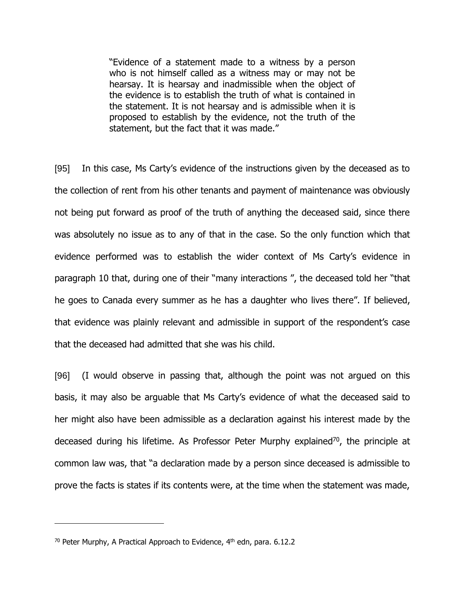"Evidence of a statement made to a witness by a person who is not himself called as a witness may or may not be hearsay. It is hearsay and inadmissible when the object of the evidence is to establish the truth of what is contained in the statement. It is not hearsay and is admissible when it is proposed to establish by the evidence, not the truth of the statement, but the fact that it was made."

[95] In this case, Ms Carty's evidence of the instructions given by the deceased as to the collection of rent from his other tenants and payment of maintenance was obviously not being put forward as proof of the truth of anything the deceased said, since there was absolutely no issue as to any of that in the case. So the only function which that evidence performed was to establish the wider context of Ms Carty's evidence in paragraph 10 that, during one of their "many interactions ", the deceased told her "that he goes to Canada every summer as he has a daughter who lives there". If believed, that evidence was plainly relevant and admissible in support of the respondent's case that the deceased had admitted that she was his child.

[96] (I would observe in passing that, although the point was not argued on this basis, it may also be arguable that Ms Carty's evidence of what the deceased said to her might also have been admissible as a declaration against his interest made by the deceased during his lifetime. As Professor Peter Murphy explained<sup>70</sup>, the principle at common law was, that "a declaration made by a person since deceased is admissible to prove the facts is states if its contents were, at the time when the statement was made,

<sup>&</sup>lt;sup>70</sup> Peter Murphy, A Practical Approach to Evidence,  $4<sup>th</sup>$  edn, para. 6.12.2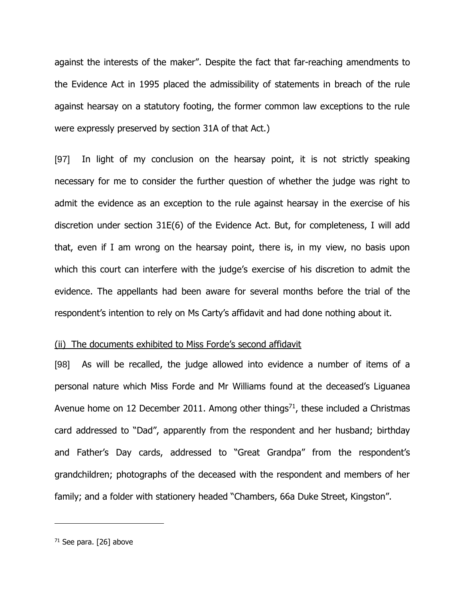against the interests of the maker". Despite the fact that far-reaching amendments to the Evidence Act in 1995 placed the admissibility of statements in breach of the rule against hearsay on a statutory footing, the former common law exceptions to the rule were expressly preserved by section 31A of that Act.)

[97] In light of my conclusion on the hearsay point, it is not strictly speaking necessary for me to consider the further question of whether the judge was right to admit the evidence as an exception to the rule against hearsay in the exercise of his discretion under section 31E(6) of the Evidence Act. But, for completeness, I will add that, even if I am wrong on the hearsay point, there is, in my view, no basis upon which this court can interfere with the judge's exercise of his discretion to admit the evidence. The appellants had been aware for several months before the trial of the respondent's intention to rely on Ms Carty's affidavit and had done nothing about it.

### (ii) The documents exhibited to Miss Forde's second affidavit

[98] As will be recalled, the judge allowed into evidence a number of items of a personal nature which Miss Forde and Mr Williams found at the deceased's Liguanea Avenue home on 12 December 2011. Among other things<sup>71</sup>, these included a Christmas card addressed to "Dad", apparently from the respondent and her husband; birthday and Father's Day cards, addressed to "Great Grandpa" from the respondent's grandchildren; photographs of the deceased with the respondent and members of her family; and a folder with stationery headed "Chambers, 66a Duke Street, Kingston".

 $71$  See para. [26] above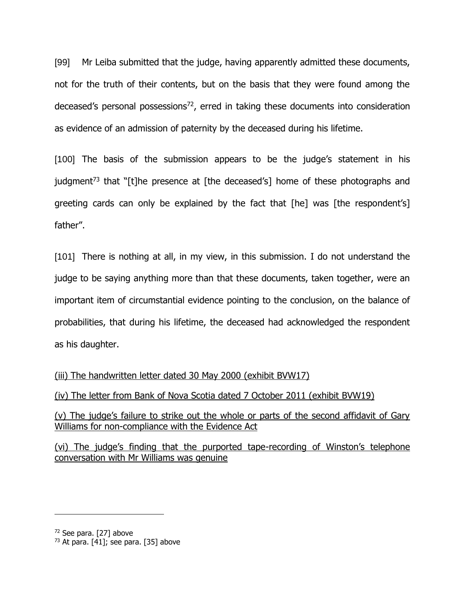[99] Mr Leiba submitted that the judge, having apparently admitted these documents, not for the truth of their contents, but on the basis that they were found among the deceased's personal possessions<sup>72</sup>, erred in taking these documents into consideration as evidence of an admission of paternity by the deceased during his lifetime.

[100] The basis of the submission appears to be the judge's statement in his judgment<sup>73</sup> that "[t]he presence at [the deceased's] home of these photographs and greeting cards can only be explained by the fact that [he] was [the respondent's] father".

[101] There is nothing at all, in my view, in this submission. I do not understand the judge to be saying anything more than that these documents, taken together, were an important item of circumstantial evidence pointing to the conclusion, on the balance of probabilities, that during his lifetime, the deceased had acknowledged the respondent as his daughter.

(iii) The handwritten letter dated 30 May 2000 (exhibit BVW17)

(iv) The letter from Bank of Nova Scotia dated 7 October 2011 (exhibit BVW19)

(v) The judge's failure to strike out the whole or parts of the second affidavit of Gary Williams for non-compliance with the Evidence Act

(vi) The judge's finding that the purported tape-recording of Winston's telephone conversation with Mr Williams was genuine

<sup>72</sup> See para. [27] above

 $73$  At para. [41]; see para. [35] above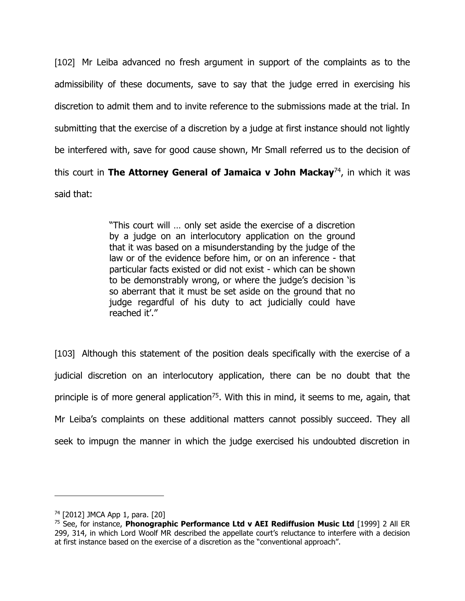[102] Mr Leiba advanced no fresh argument in support of the complaints as to the admissibility of these documents, save to say that the judge erred in exercising his discretion to admit them and to invite reference to the submissions made at the trial. In submitting that the exercise of a discretion by a judge at first instance should not lightly be interfered with, save for good cause shown, Mr Small referred us to the decision of this court in **The Attorney General of Jamaica v John Mackay**<sup>74</sup>, in which it was said that:

> "This court will … only set aside the exercise of a discretion by a judge on an interlocutory application on the ground that it was based on a misunderstanding by the judge of the law or of the evidence before him, or on an inference - that particular facts existed or did not exist - which can be shown to be demonstrably wrong, or where the judge's decision 'is so aberrant that it must be set aside on the ground that no judge regardful of his duty to act judicially could have reached it'."

[103] Although this statement of the position deals specifically with the exercise of a judicial discretion on an interlocutory application, there can be no doubt that the principle is of more general application<sup>75</sup>. With this in mind, it seems to me, again, that Mr Leiba's complaints on these additional matters cannot possibly succeed. They all seek to impugn the manner in which the judge exercised his undoubted discretion in

<sup>74</sup> [2012] JMCA App 1, para. [20]

<sup>75</sup> See, for instance, **Phonographic Performance Ltd v AEI Rediffusion Music Ltd** [1999] 2 All ER 299, 314, in which Lord Woolf MR described the appellate court's reluctance to interfere with a decision at first instance based on the exercise of a discretion as the "conventional approach".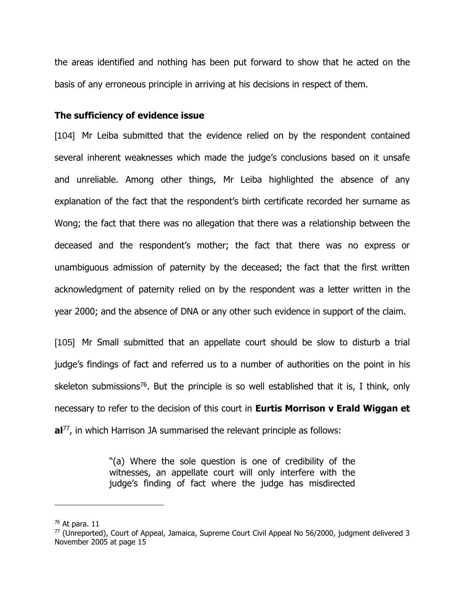the areas identified and nothing has been put forward to show that he acted on the basis of any erroneous principle in arriving at his decisions in respect of them.

## **The sufficiency of evidence issue**

[104] Mr Leiba submitted that the evidence relied on by the respondent contained several inherent weaknesses which made the judge's conclusions based on it unsafe and unreliable. Among other things, Mr Leiba highlighted the absence of any explanation of the fact that the respondent's birth certificate recorded her surname as Wong; the fact that there was no allegation that there was a relationship between the deceased and the respondent's mother; the fact that there was no express or unambiguous admission of paternity by the deceased; the fact that the first written acknowledgment of paternity relied on by the respondent was a letter written in the year 2000; and the absence of DNA or any other such evidence in support of the claim.

[105] Mr Small submitted that an appellate court should be slow to disturb a trial judge's findings of fact and referred us to a number of authorities on the point in his skeleton submissions<sup>76</sup>. But the principle is so well established that it is, I think, only necessary to refer to the decision of this court in **Eurtis Morrison v Erald Wiggan et al** 77 , in which Harrison JA summarised the relevant principle as follows:

> "(a) Where the sole question is one of credibility of the witnesses, an appellate court will only interfere with the judge's finding of fact where the judge has misdirected

 $76$  At para, 11

 $77$  (Unreported), Court of Appeal, Jamaica, Supreme Court Civil Appeal No 56/2000, judgment delivered 3 November 2005 at page 15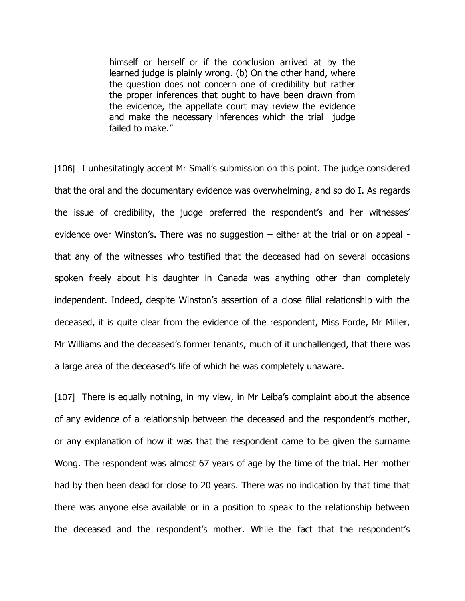himself or herself or if the conclusion arrived at by the learned judge is plainly wrong. (b) On the other hand, where the question does not concern one of credibility but rather the proper inferences that ought to have been drawn from the evidence, the appellate court may review the evidence and make the necessary inferences which the trial judge failed to make."

[106] I unhesitatingly accept Mr Small's submission on this point. The judge considered that the oral and the documentary evidence was overwhelming, and so do I. As regards the issue of credibility, the judge preferred the respondent's and her witnesses' evidence over Winston's. There was no suggestion – either at the trial or on appeal that any of the witnesses who testified that the deceased had on several occasions spoken freely about his daughter in Canada was anything other than completely independent. Indeed, despite Winston's assertion of a close filial relationship with the deceased, it is quite clear from the evidence of the respondent, Miss Forde, Mr Miller, Mr Williams and the deceased's former tenants, much of it unchallenged, that there was a large area of the deceased's life of which he was completely unaware.

[107] There is equally nothing, in my view, in Mr Leiba's complaint about the absence of any evidence of a relationship between the deceased and the respondent's mother, or any explanation of how it was that the respondent came to be given the surname Wong. The respondent was almost 67 years of age by the time of the trial. Her mother had by then been dead for close to 20 years. There was no indication by that time that there was anyone else available or in a position to speak to the relationship between the deceased and the respondent's mother. While the fact that the respondent's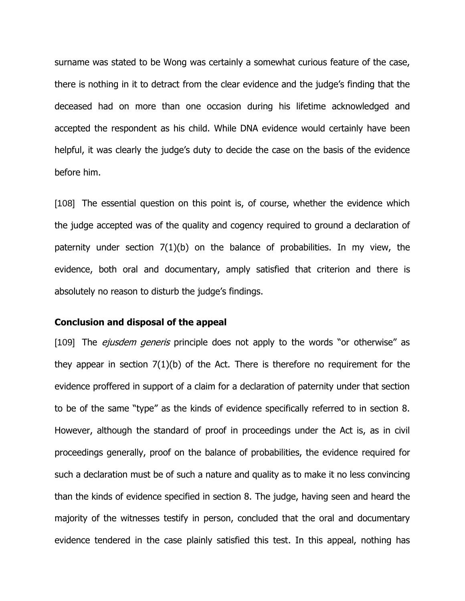surname was stated to be Wong was certainly a somewhat curious feature of the case, there is nothing in it to detract from the clear evidence and the judge's finding that the deceased had on more than one occasion during his lifetime acknowledged and accepted the respondent as his child. While DNA evidence would certainly have been helpful, it was clearly the judge's duty to decide the case on the basis of the evidence before him.

[108] The essential question on this point is, of course, whether the evidence which the judge accepted was of the quality and cogency required to ground a declaration of paternity under section 7(1)(b) on the balance of probabilities. In my view, the evidence, both oral and documentary, amply satisfied that criterion and there is absolutely no reason to disturb the judge's findings.

#### **Conclusion and disposal of the appeal**

[109] The *ejusdem generis* principle does not apply to the words "or otherwise" as they appear in section 7(1)(b) of the Act. There is therefore no requirement for the evidence proffered in support of a claim for a declaration of paternity under that section to be of the same "type" as the kinds of evidence specifically referred to in section 8. However, although the standard of proof in proceedings under the Act is, as in civil proceedings generally, proof on the balance of probabilities, the evidence required for such a declaration must be of such a nature and quality as to make it no less convincing than the kinds of evidence specified in section 8. The judge, having seen and heard the majority of the witnesses testify in person, concluded that the oral and documentary evidence tendered in the case plainly satisfied this test. In this appeal, nothing has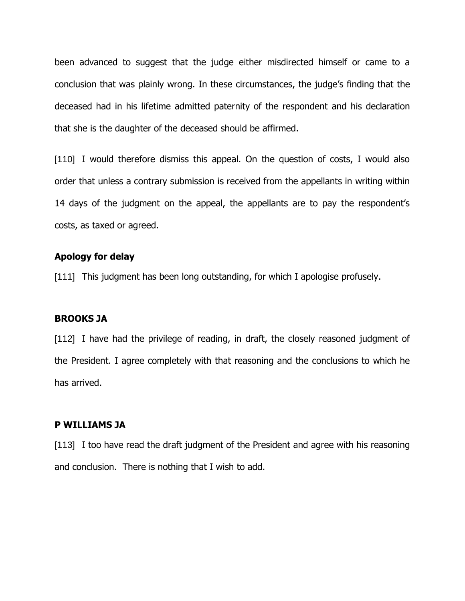been advanced to suggest that the judge either misdirected himself or came to a conclusion that was plainly wrong. In these circumstances, the judge's finding that the deceased had in his lifetime admitted paternity of the respondent and his declaration that she is the daughter of the deceased should be affirmed.

[110] I would therefore dismiss this appeal. On the question of costs, I would also order that unless a contrary submission is received from the appellants in writing within 14 days of the judgment on the appeal, the appellants are to pay the respondent's costs, as taxed or agreed.

### **Apology for delay**

[111] This judgment has been long outstanding, for which I apologise profusely.

## **BROOKS JA**

[112] I have had the privilege of reading, in draft, the closely reasoned judgment of the President. I agree completely with that reasoning and the conclusions to which he has arrived.

#### **P WILLIAMS JA**

[113] I too have read the draft judgment of the President and agree with his reasoning and conclusion. There is nothing that I wish to add.